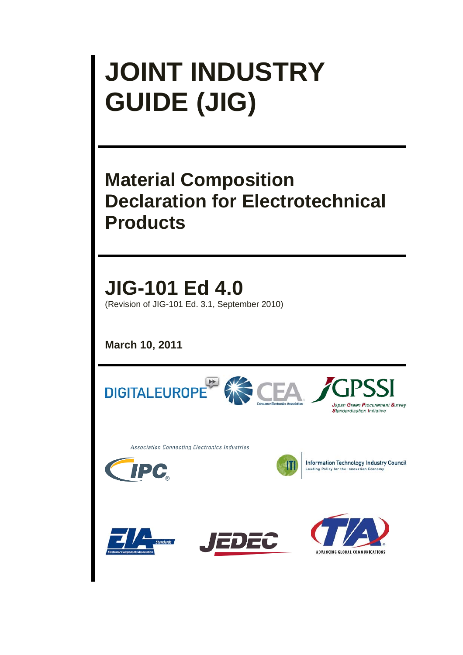# **JOINT INDUSTRY GUIDE (JIG)**

# **Material Composition Declaration for Electrotechnical Products**

**JIG-101 Ed 4.0** (Revision of JIG-101 Ed. 3.1, September 2010)

**March 10, 2011** 

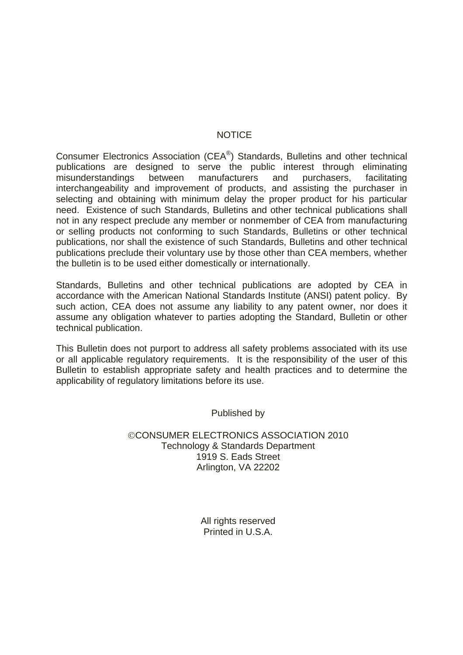# NOTICE

Consumer Electronics Association (CEA®) Standards, Bulletins and other technical publications are designed to serve the public interest through eliminating misunderstandings between manufacturers and purchasers, facilitating interchangeability and improvement of products, and assisting the purchaser in selecting and obtaining with minimum delay the proper product for his particular need. Existence of such Standards, Bulletins and other technical publications shall not in any respect preclude any member or nonmember of CEA from manufacturing or selling products not conforming to such Standards, Bulletins or other technical publications, nor shall the existence of such Standards, Bulletins and other technical publications preclude their voluntary use by those other than CEA members, whether the bulletin is to be used either domestically or internationally.

Standards, Bulletins and other technical publications are adopted by CEA in accordance with the American National Standards Institute (ANSI) patent policy. By such action, CEA does not assume any liability to any patent owner, nor does it assume any obligation whatever to parties adopting the Standard, Bulletin or other technical publication.

This Bulletin does not purport to address all safety problems associated with its use or all applicable regulatory requirements. It is the responsibility of the user of this Bulletin to establish appropriate safety and health practices and to determine the applicability of regulatory limitations before its use.

Published by

CONSUMER ELECTRONICS ASSOCIATION 2010 Technology & Standards Department 1919 S. Eads Street Arlington, VA 22202

> All rights reserved Printed in U.S.A.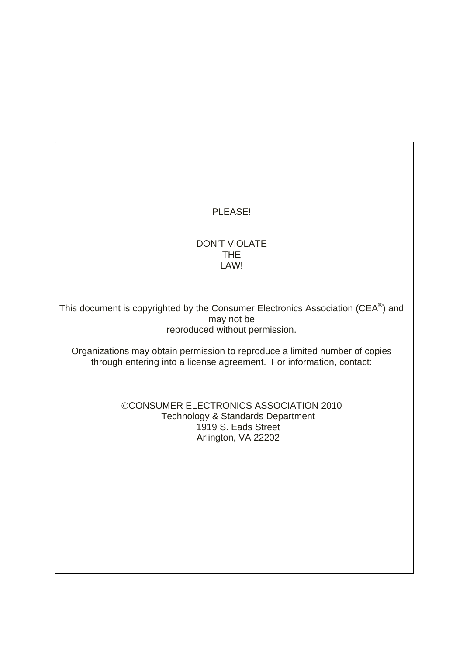# PLEASE!

# DON'T VIOLATE THE LAW!

This document is copyrighted by the Consumer Electronics Association (CEA®) and may not be reproduced without permission.

Organizations may obtain permission to reproduce a limited number of copies through entering into a license agreement. For information, contact:

# CONSUMER ELECTRONICS ASSOCIATION 2010 Technology & Standards Department 1919 S. Eads Street Arlington, VA 22202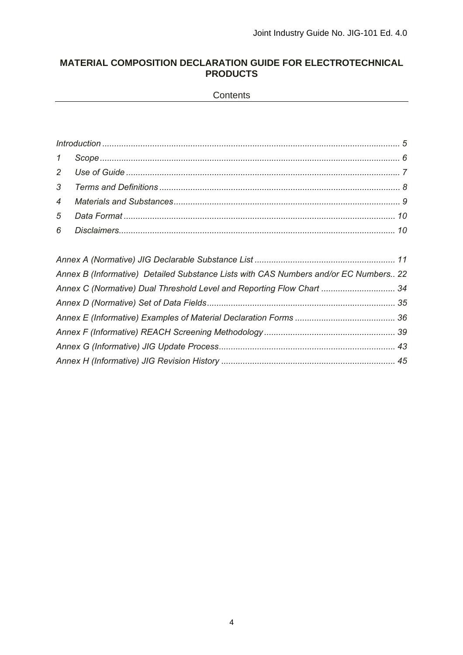# **MATERIAL COMPOSITION DECLARATION GUIDE FOR ELECTROTECHNICAL PRODUCTS**

**Contents** 

| Annex B (Informative) Detailed Substance Lists with CAS Numbers and/or EC Numbers 22 |  |
|--------------------------------------------------------------------------------------|--|
| Annex C (Normative) Dual Threshold Level and Reporting Flow Chart  34                |  |
|                                                                                      |  |
|                                                                                      |  |
|                                                                                      |  |
|                                                                                      |  |
|                                                                                      |  |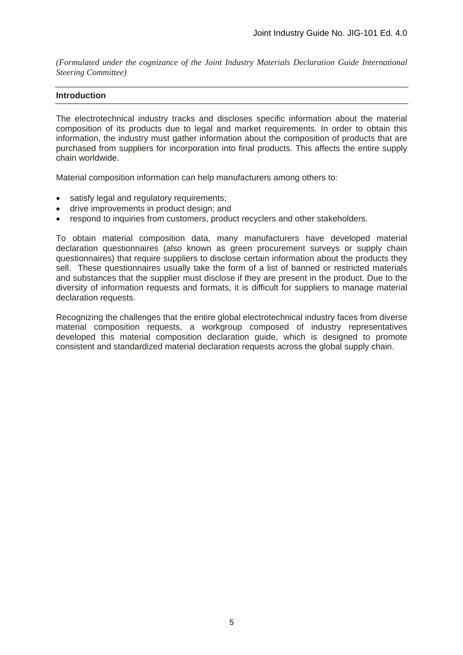*(Formulated under the cognizance of the Joint Industry Materials Declaration Guide International Steering Committee)* 

#### **Introduction**

The electrotechnical industry tracks and discloses specific information about the material composition of its products due to legal and market requirements. In order to obtain this information, the industry must gather information about the composition of products that are purchased from suppliers for incorporation into final products. This affects the entire supply chain worldwide.

Material composition information can help manufacturers among others to:

- satisfy legal and regulatory requirements;
- drive improvements in product design; and
- respond to inquiries from customers, product recyclers and other stakeholders.

To obtain material composition data, many manufacturers have developed material declaration questionnaires (also known as green procurement surveys or supply chain questionnaires) that require suppliers to disclose certain information about the products they sell. These questionnaires usually take the form of a list of banned or restricted materials and substances that the supplier must disclose if they are present in the product. Due to the diversity of information requests and formats, it is difficult for suppliers to manage material declaration requests.

Recognizing the challenges that the entire global electrotechnical industry faces from diverse material composition requests, a workgroup composed of industry representatives developed this material composition declaration guide, which is designed to promote consistent and standardized material declaration requests across the global supply chain.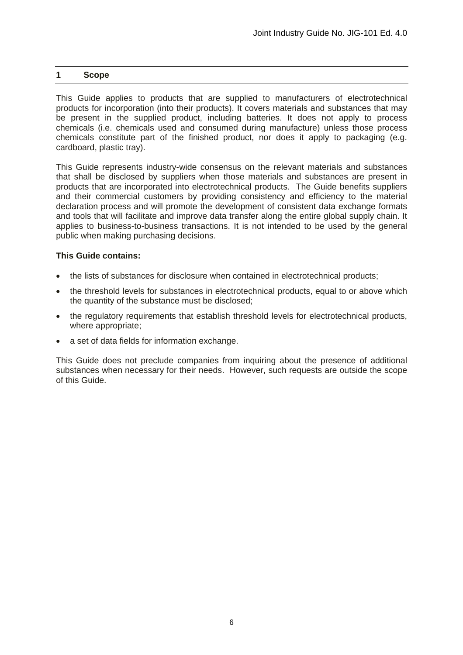#### **1 Scope**

This Guide applies to products that are supplied to manufacturers of electrotechnical products for incorporation (into their products). It covers materials and substances that may be present in the supplied product, including batteries. It does not apply to process chemicals (i.e. chemicals used and consumed during manufacture) unless those process chemicals constitute part of the finished product, nor does it apply to packaging (e.g. cardboard, plastic tray).

This Guide represents industry-wide consensus on the relevant materials and substances that shall be disclosed by suppliers when those materials and substances are present in products that are incorporated into electrotechnical products. The Guide benefits suppliers and their commercial customers by providing consistency and efficiency to the material declaration process and will promote the development of consistent data exchange formats and tools that will facilitate and improve data transfer along the entire global supply chain. It applies to business-to-business transactions. It is not intended to be used by the general public when making purchasing decisions.

#### **This Guide contains:**

- the lists of substances for disclosure when contained in electrotechnical products;
- the threshold levels for substances in electrotechnical products, equal to or above which the quantity of the substance must be disclosed;
- the regulatory requirements that establish threshold levels for electrotechnical products, where appropriate;
- a set of data fields for information exchange.

This Guide does not preclude companies from inquiring about the presence of additional substances when necessary for their needs. However, such requests are outside the scope of this Guide.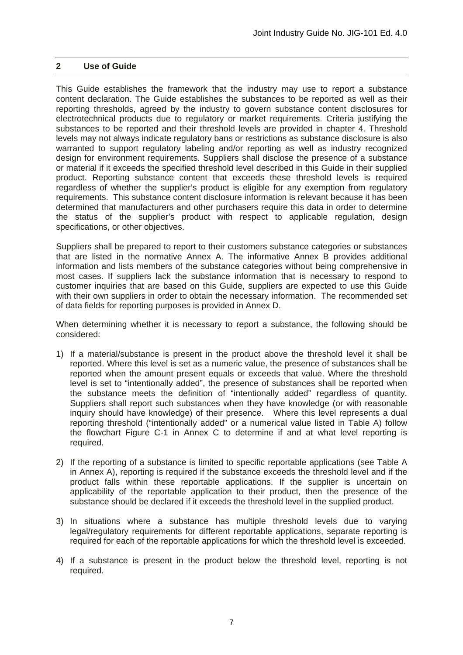# **2 Use of Guide**

This Guide establishes the framework that the industry may use to report a substance content declaration. The Guide establishes the substances to be reported as well as their reporting thresholds, agreed by the industry to govern substance content disclosures for electrotechnical products due to regulatory or market requirements. Criteria justifying the substances to be reported and their threshold levels are provided in chapter 4. Threshold levels may not always indicate regulatory bans or restrictions as substance disclosure is also warranted to support regulatory labeling and/or reporting as well as industry recognized design for environment requirements. Suppliers shall disclose the presence of a substance or material if it exceeds the specified threshold level described in this Guide in their supplied product. Reporting substance content that exceeds these threshold levels is required regardless of whether the supplier's product is eligible for any exemption from regulatory requirements. This substance content disclosure information is relevant because it has been determined that manufacturers and other purchasers require this data in order to determine the status of the supplier's product with respect to applicable regulation, design specifications, or other objectives.

Suppliers shall be prepared to report to their customers substance categories or substances that are listed in the normative Annex A. The informative Annex B provides additional information and lists members of the substance categories without being comprehensive in most cases. If suppliers lack the substance information that is necessary to respond to customer inquiries that are based on this Guide, suppliers are expected to use this Guide with their own suppliers in order to obtain the necessary information. The recommended set of data fields for reporting purposes is provided in Annex D.

When determining whether it is necessary to report a substance, the following should be considered:

- 1) If a material/substance is present in the product above the threshold level it shall be reported. Where this level is set as a numeric value, the presence of substances shall be reported when the amount present equals or exceeds that value. Where the threshold level is set to "intentionally added", the presence of substances shall be reported when the substance meets the definition of "intentionally added" regardless of quantity. Suppliers shall report such substances when they have knowledge (or with reasonable inquiry should have knowledge) of their presence. Where this level represents a dual reporting threshold ("intentionally added" or a numerical value listed in Table A) follow the flowchart Figure C-1 in Annex C to determine if and at what level reporting is required.
- 2) If the reporting of a substance is limited to specific reportable applications (see Table A in Annex A), reporting is required if the substance exceeds the threshold level and if the product falls within these reportable applications. If the supplier is uncertain on applicability of the reportable application to their product, then the presence of the substance should be declared if it exceeds the threshold level in the supplied product.
- 3) In situations where a substance has multiple threshold levels due to varying legal/regulatory requirements for different reportable applications, separate reporting is required for each of the reportable applications for which the threshold level is exceeded.
- 4) If a substance is present in the product below the threshold level, reporting is not required.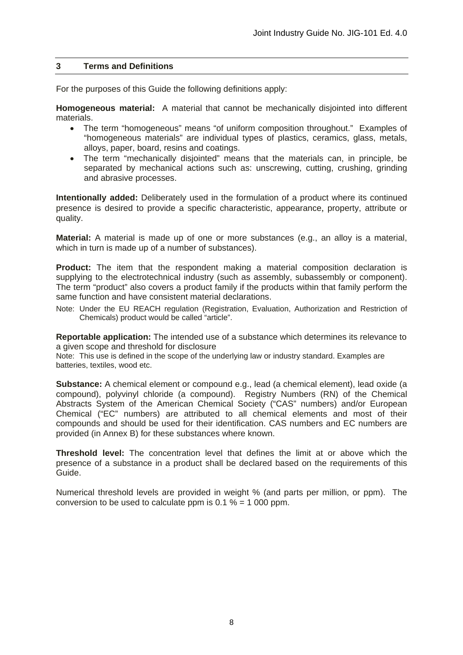# **3 Terms and Definitions**

For the purposes of this Guide the following definitions apply:

**Homogeneous material:** A material that cannot be mechanically disjointed into different materials.

- The term "homogeneous" means "of uniform composition throughout." Examples of "homogeneous materials" are individual types of plastics, ceramics, glass, metals, alloys, paper, board, resins and coatings.
- The term "mechanically disjointed" means that the materials can, in principle, be separated by mechanical actions such as: unscrewing, cutting, crushing, grinding and abrasive processes.

**Intentionally added:** Deliberately used in the formulation of a product where its continued presence is desired to provide a specific characteristic, appearance, property, attribute or quality.

**Material:** A material is made up of one or more substances (e.g., an alloy is a material, which in turn is made up of a number of substances).

**Product:** The item that the respondent making a material composition declaration is supplying to the electrotechnical industry (such as assembly, subassembly or component). The term "product" also covers a product family if the products within that family perform the same function and have consistent material declarations.

Note: Under the EU REACH regulation (Registration, Evaluation, Authorization and Restriction of Chemicals) product would be called "article".

**Reportable application:** The intended use of a substance which determines its relevance to a given scope and threshold for disclosure

Note: This use is defined in the scope of the underlying law or industry standard. Examples are batteries, textiles, wood etc.

**Substance:** A chemical element or compound e.g., lead (a chemical element), lead oxide (a compound), polyvinyl chloride (a compound). Registry Numbers (RN) of the Chemical Abstracts System of the American Chemical Society ("CAS" numbers) and/or European Chemical ("EC" numbers) are attributed to all chemical elements and most of their compounds and should be used for their identification. CAS numbers and EC numbers are provided (in Annex B) for these substances where known.

**Threshold level:** The concentration level that defines the limit at or above which the presence of a substance in a product shall be declared based on the requirements of this Guide.

Numerical threshold levels are provided in weight % (and parts per million, or ppm). The conversion to be used to calculate ppm is  $0.1 \% = 1000$  ppm.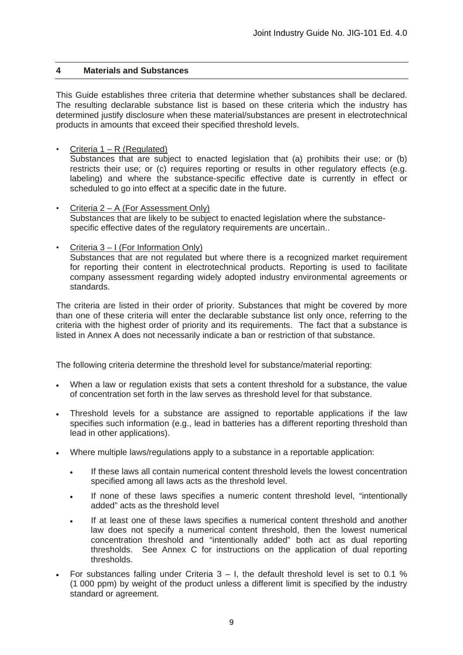# **4 Materials and Substances**

This Guide establishes three criteria that determine whether substances shall be declared. The resulting declarable substance list is based on these criteria which the industry has determined justify disclosure when these material/substances are present in electrotechnical products in amounts that exceed their specified threshold levels.

Criteria  $1 - R$  (Regulated)

Substances that are subject to enacted legislation that (a) prohibits their use; or (b) restricts their use; or (c) requires reporting or results in other regulatory effects (e.g. labeling) and where the substance-specific effective date is currently in effect or scheduled to go into effect at a specific date in the future.

• Criteria 2 – A (For Assessment Only) Substances that are likely to be subject to enacted legislation where the substancespecific effective dates of the regulatory requirements are uncertain..

#### • Criteria 3 – I (For Information Only)

Substances that are not regulated but where there is a recognized market requirement for reporting their content in electrotechnical products. Reporting is used to facilitate company assessment regarding widely adopted industry environmental agreements or standards.

The criteria are listed in their order of priority. Substances that might be covered by more than one of these criteria will enter the declarable substance list only once, referring to the criteria with the highest order of priority and its requirements. The fact that a substance is listed in Annex A does not necessarily indicate a ban or restriction of that substance.

The following criteria determine the threshold level for substance/material reporting:

- When a law or regulation exists that sets a content threshold for a substance, the value of concentration set forth in the law serves as threshold level for that substance.
- Threshold levels for a substance are assigned to reportable applications if the law specifies such information (e.g., lead in batteries has a different reporting threshold than lead in other applications).
- Where multiple laws/regulations apply to a substance in a reportable application:
	- If these laws all contain numerical content threshold levels the lowest concentration specified among all laws acts as the threshold level.
	- If none of these laws specifies a numeric content threshold level, "intentionally added" acts as the threshold level
	- If at least one of these laws specifies a numerical content threshold and another law does not specify a numerical content threshold, then the lowest numerical concentration threshold and "intentionally added" both act as dual reporting thresholds. See Annex C for instructions on the application of dual reporting thresholds.
- For substances falling under Criteria  $3 I$ , the default threshold level is set to 0.1 % (1 000 ppm) by weight of the product unless a different limit is specified by the industry standard or agreement.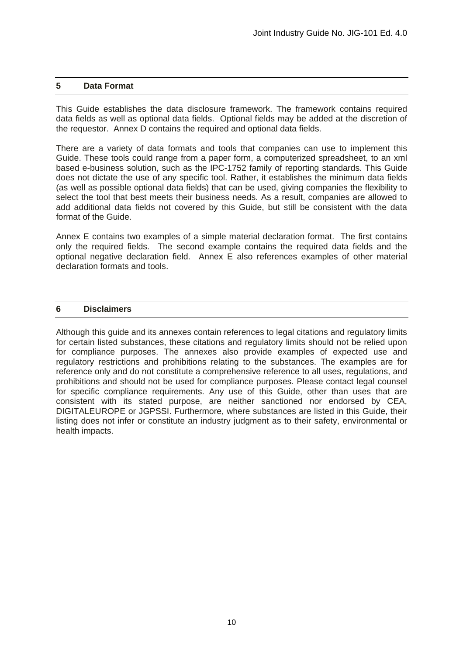#### **5 Data Format**

This Guide establishes the data disclosure framework. The framework contains required data fields as well as optional data fields. Optional fields may be added at the discretion of the requestor. Annex D contains the required and optional data fields.

There are a variety of data formats and tools that companies can use to implement this Guide. These tools could range from a paper form, a computerized spreadsheet, to an xml based e-business solution, such as the IPC-1752 family of reporting standards. This Guide does not dictate the use of any specific tool. Rather, it establishes the minimum data fields (as well as possible optional data fields) that can be used, giving companies the flexibility to select the tool that best meets their business needs. As a result, companies are allowed to add additional data fields not covered by this Guide, but still be consistent with the data format of the Guide.

Annex E contains two examples of a simple material declaration format. The first contains only the required fields. The second example contains the required data fields and the optional negative declaration field. Annex E also references examples of other material declaration formats and tools.

#### **6 Disclaimers**

Although this guide and its annexes contain references to legal citations and regulatory limits for certain listed substances, these citations and regulatory limits should not be relied upon for compliance purposes. The annexes also provide examples of expected use and regulatory restrictions and prohibitions relating to the substances. The examples are for reference only and do not constitute a comprehensive reference to all uses, regulations, and prohibitions and should not be used for compliance purposes. Please contact legal counsel for specific compliance requirements. Any use of this Guide, other than uses that are consistent with its stated purpose, are neither sanctioned nor endorsed by CEA, DIGITALEUROPE or JGPSSI. Furthermore, where substances are listed in this Guide, their listing does not infer or constitute an industry judgment as to their safety, environmental or health impacts.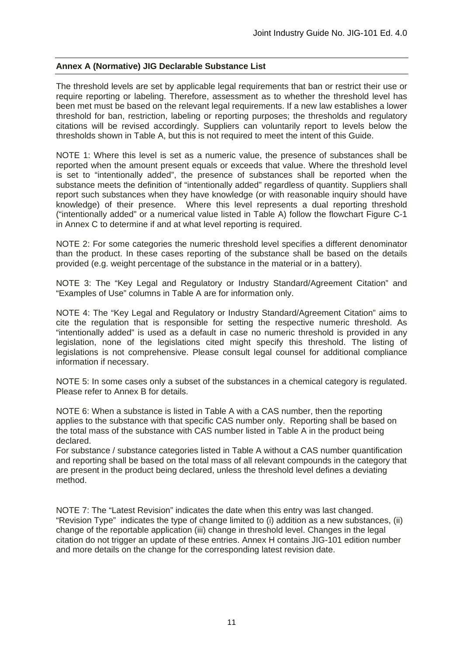# **Annex A (Normative) JIG Declarable Substance List**

The threshold levels are set by applicable legal requirements that ban or restrict their use or require reporting or labeling. Therefore, assessment as to whether the threshold level has been met must be based on the relevant legal requirements. If a new law establishes a lower threshold for ban, restriction, labeling or reporting purposes; the thresholds and regulatory citations will be revised accordingly. Suppliers can voluntarily report to levels below the thresholds shown in Table A, but this is not required to meet the intent of this Guide.

NOTE 1: Where this level is set as a numeric value, the presence of substances shall be reported when the amount present equals or exceeds that value. Where the threshold level is set to "intentionally added", the presence of substances shall be reported when the substance meets the definition of "intentionally added" regardless of quantity. Suppliers shall report such substances when they have knowledge (or with reasonable inquiry should have knowledge) of their presence. Where this level represents a dual reporting threshold ("intentionally added" or a numerical value listed in Table A) follow the flowchart Figure C-1 in Annex C to determine if and at what level reporting is required.

NOTE 2: For some categories the numeric threshold level specifies a different denominator than the product. In these cases reporting of the substance shall be based on the details provided (e.g. weight percentage of the substance in the material or in a battery).

NOTE 3: The "Key Legal and Regulatory or Industry Standard/Agreement Citation" and "Examples of Use" columns in Table A are for information only.

NOTE 4: The "Key Legal and Regulatory or Industry Standard/Agreement Citation" aims to cite the regulation that is responsible for setting the respective numeric threshold. As "intentionally added" is used as a default in case no numeric threshold is provided in any legislation, none of the legislations cited might specify this threshold. The listing of legislations is not comprehensive. Please consult legal counsel for additional compliance information if necessary.

NOTE 5: In some cases only a subset of the substances in a chemical category is regulated. Please refer to Annex B for details.

NOTE 6: When a substance is listed in Table A with a CAS number, then the reporting applies to the substance with that specific CAS number only. Reporting shall be based on the total mass of the substance with CAS number listed in Table A in the product being declared.

For substance / substance categories listed in Table A without a CAS number quantification and reporting shall be based on the total mass of all relevant compounds in the category that are present in the product being declared, unless the threshold level defines a deviating method.

NOTE 7: The "Latest Revision" indicates the date when this entry was last changed. "Revision Type" indicates the type of change limited to (i) addition as a new substances, (ii) change of the reportable application (iii) change in threshold level. Changes in the legal citation do not trigger an update of these entries. Annex H contains JIG-101 edition number and more details on the change for the corresponding latest revision date.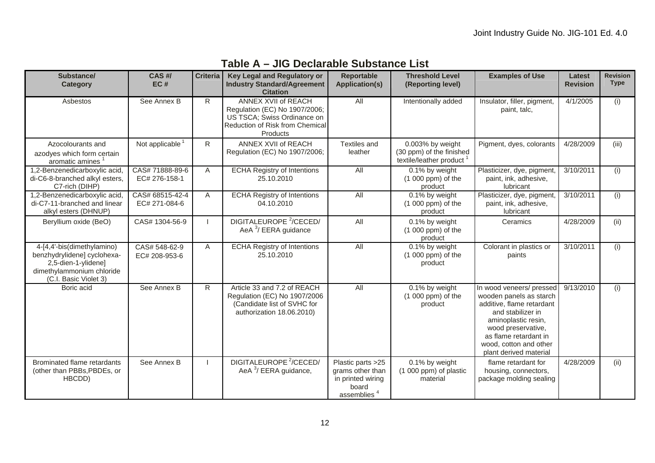| Substance/<br><b>Category</b>                                                                                                          | <b>CAS#/</b><br>EC#              | <b>Criteria</b> | Key Legal and Regulatory or<br><b>Industry Standard/Agreement</b><br><b>Citation</b>                                               | <b>Reportable</b><br><b>Application(s)</b>                                                     | <b>Threshold Level</b><br>(Reporting level)                                          | <b>Examples of Use</b>                                                                                                                                                                                                          | Latest<br><b>Revision</b> | <b>Revision</b><br><b>Type</b> |
|----------------------------------------------------------------------------------------------------------------------------------------|----------------------------------|-----------------|------------------------------------------------------------------------------------------------------------------------------------|------------------------------------------------------------------------------------------------|--------------------------------------------------------------------------------------|---------------------------------------------------------------------------------------------------------------------------------------------------------------------------------------------------------------------------------|---------------------------|--------------------------------|
| Asbestos                                                                                                                               | See Annex B                      | R.              | ANNEX XVII of REACH<br>Regulation (EC) No 1907/2006;<br>US TSCA; Swiss Ordinance on<br>Reduction of Risk from Chemical<br>Products | All                                                                                            | Intentionally added                                                                  | Insulator, filler, pigment,<br>paint, talc,                                                                                                                                                                                     | 4/1/2005                  | (i)                            |
| Azocolourants and<br>azodyes which form certain<br>aromatic amines <sup>1</sup>                                                        | Not applicable <sup>1</sup>      | R               | ANNEX XVII of REACH<br>Regulation (EC) No 1907/2006;                                                                               | Textiles and<br>leather                                                                        | 0.003% by weight<br>(30 ppm) of the finished<br>textile/leather product <sup>1</sup> | Pigment, dyes, colorants                                                                                                                                                                                                        | 4/28/2009                 | (iii)                          |
| 1,2-Benzenedicarboxylic acid,<br>di-C6-8-branched alkyl esters,<br>C7-rich (DIHP)                                                      | CAS# 71888-89-6<br>EC# 276-158-1 | A               | <b>ECHA Registry of Intentions</b><br>25.10.2010                                                                                   | <b>All</b>                                                                                     | 0.1% by weight<br>$(1000$ ppm) of the<br>product                                     | Plasticizer, dye, pigment,<br>paint, ink, adhesive,<br>lubricant                                                                                                                                                                | 3/10/2011                 | (i)                            |
| 1,2-Benzenedicarboxylic acid,<br>di-C7-11-branched and linear<br>alkyl esters (DHNUP)                                                  | CAS# 68515-42-4<br>EC# 271-084-6 | $\mathsf{A}$    | <b>ECHA Registry of Intentions</b><br>04.10.2010                                                                                   | All                                                                                            | 0.1% by weight<br>$(1000$ ppm) of the<br>product                                     | Plasticizer, dye, pigment,<br>paint, ink, adhesive,<br>lubricant                                                                                                                                                                | 3/10/2011                 | (i)                            |
| Beryllium oxide (BeO)                                                                                                                  | CAS# 1304-56-9                   |                 | DIGITALEUROPE <sup>2</sup> /CECED/<br>AeA <sup>3</sup> / EERA guidance                                                             | All                                                                                            | 0.1% by weight<br>$(1000$ ppm) of the<br>product                                     | Ceramics                                                                                                                                                                                                                        | 4/28/2009                 | (ii)                           |
| 4-[4,4'-bis(dimethylamino)<br>benzhydrylidene] cyclohexa-<br>2,5-dien-1-ylidene]<br>dimethylammonium chloride<br>(C.I. Basic Violet 3) | CAS# 548-62-9<br>EC# 208-953-6   | $\mathsf{A}$    | <b>ECHA Registry of Intentions</b><br>25.10.2010                                                                                   | All                                                                                            | 0.1% by weight<br>$(1 000 ppm)$ of the<br>product                                    | Colorant in plastics or<br>paints                                                                                                                                                                                               | 3/10/2011                 | (i)                            |
| Boric acid                                                                                                                             | See Annex B                      | R               | Article 33 and 7.2 of REACH<br>Regulation (EC) No 1907/2006<br>(Candidate list of SVHC for<br>authorization 18.06.2010)            | All                                                                                            | 0.1% by weight<br>$(1000$ ppm) of the<br>product                                     | In wood veneers/ pressed<br>wooden panels as starch<br>additive, flame retardant<br>and stabilizer in<br>aminoplastic resin,<br>wood preservative,<br>as flame retardant in<br>wood, cotton and other<br>plant derived material | 9/13/2010                 | (i)                            |
| Brominated flame retardants<br>(other than PBBs, PBDEs, or<br>HBCDD)                                                                   | See Annex B                      |                 | DIGITALEUROPE <sup>2</sup> /CECED/<br>AeA $3/$ EERA guidance,                                                                      | Plastic parts >25<br>grams other than<br>in printed wiring<br>board<br>assemblies <sup>4</sup> | 0.1% by weight<br>(1 000 ppm) of plastic<br>material                                 | flame retardant for<br>housing, connectors,<br>package molding sealing                                                                                                                                                          | 4/28/2009                 | (ii)                           |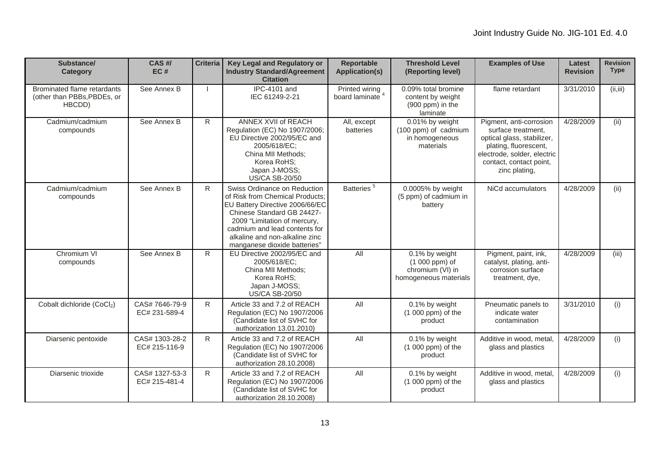| Substance/<br>Category                                               | CAS #/<br>EC#                   | <b>Criteria</b> | Key Legal and Regulatory or<br><b>Industry Standard/Agreement</b><br><b>Citation</b>                                                                                                                                                                                | <b>Reportable</b><br><b>Application(s)</b>    | <b>Threshold Level</b><br>(Reporting level)                                       | <b>Examples of Use</b>                                                                                                                                                          | <b>Latest</b><br><b>Revision</b> | <b>Revision</b><br><b>Type</b> |
|----------------------------------------------------------------------|---------------------------------|-----------------|---------------------------------------------------------------------------------------------------------------------------------------------------------------------------------------------------------------------------------------------------------------------|-----------------------------------------------|-----------------------------------------------------------------------------------|---------------------------------------------------------------------------------------------------------------------------------------------------------------------------------|----------------------------------|--------------------------------|
| Brominated flame retardants<br>(other than PBBs, PBDEs, or<br>HBCDD) | See Annex B                     |                 | <b>IPC-4101 and</b><br>IEC 61249-2-21                                                                                                                                                                                                                               | Printed wiring<br>board laminate <sup>4</sup> | 0.09% total bromine<br>content by weight<br>(900 ppm) in the<br>laminate          | flame retardant                                                                                                                                                                 | 3/31/2010                        | (ii, iii)                      |
| Cadmium/cadmium<br>compounds                                         | See Annex B                     | R               | ANNEX XVII of REACH<br>Regulation (EC) No 1907/2006;<br>EU Directive 2002/95/EC and<br>2005/618/EC:<br>China MII Methods;<br>Korea RoHS:<br>Japan J-MOSS;<br><b>US/CA SB-20/50</b>                                                                                  | All, except<br>batteries                      | 0.01% by weight<br>(100 ppm) of cadmium<br>in homogeneous<br>materials            | Pigment, anti-corrosion<br>surface treatment,<br>optical glass, stabilizer,<br>plating, fluorescent,<br>electrode, solder, electric<br>contact, contact point,<br>zinc plating, | 4/28/2009                        | (ii)                           |
| Cadmium/cadmium<br>compounds                                         | See Annex B                     | R               | Swiss Ordinance on Reduction<br>of Risk from Chemical Products:<br>EU Battery Directive 2006/66/EC<br>Chinese Standard GB 24427-<br>2009 "Limitation of mercury,<br>cadmium and lead contents for<br>alkaline and non-alkaline zinc<br>manganese dioxide batteries" | Batteries <sup>5</sup>                        | 0.0005% by weight<br>(5 ppm) of cadmium in<br>battery                             | NiCd accumulators                                                                                                                                                               | 4/28/2009                        | (ii)                           |
| Chromium VI<br>compounds                                             | See Annex B                     | $\overline{R}$  | EU Directive 2002/95/EC and<br>2005/618/EC:<br>China MII Methods;<br>Korea RoHS;<br>Japan J-MOSS;<br><b>US/CA SB-20/50</b>                                                                                                                                          | All                                           | 0.1% by weight<br>$(1000$ ppm $)$ of<br>chromium (VI) in<br>homogeneous materials | Pigment, paint, ink,<br>catalyst, plating, anti-<br>corrosion surface<br>treatment, dye,                                                                                        | 4/28/2009                        | (iii)                          |
| Cobalt dichloride (CoCl2)                                            | CAS#7646-79-9<br>EC# 231-589-4  | R               | Article 33 and 7.2 of REACH<br>Regulation (EC) No 1907/2006<br>(Candidate list of SVHC for<br>authorization 13.01.2010)                                                                                                                                             | All                                           | 0.1% by weight<br>$(1000$ ppm) of the<br>product                                  | Pneumatic panels to<br>indicate water<br>contamination                                                                                                                          | 3/31/2010                        | (i)                            |
| Diarsenic pentoxide                                                  | CAS# 1303-28-2<br>EC# 215-116-9 | R.              | Article 33 and 7.2 of REACH<br>Regulation (EC) No 1907/2006<br>(Candidate list of SVHC for<br>authorization 28.10.2008)                                                                                                                                             | All                                           | 0.1% by weight<br>$(1000$ ppm) of the<br>product                                  | Additive in wood, metal,<br>glass and plastics                                                                                                                                  | 4/28/2009                        | (i)                            |
| Diarsenic trioxide                                                   | CAS# 1327-53-3<br>EC# 215-481-4 | R               | Article 33 and 7.2 of REACH<br>Regulation (EC) No 1907/2006<br>(Candidate list of SVHC for<br>authorization 28.10.2008)                                                                                                                                             | All                                           | 0.1% by weight<br>$(1000$ ppm) of the<br>product                                  | Additive in wood, metal,<br>glass and plastics                                                                                                                                  | 4/28/2009                        | (i)                            |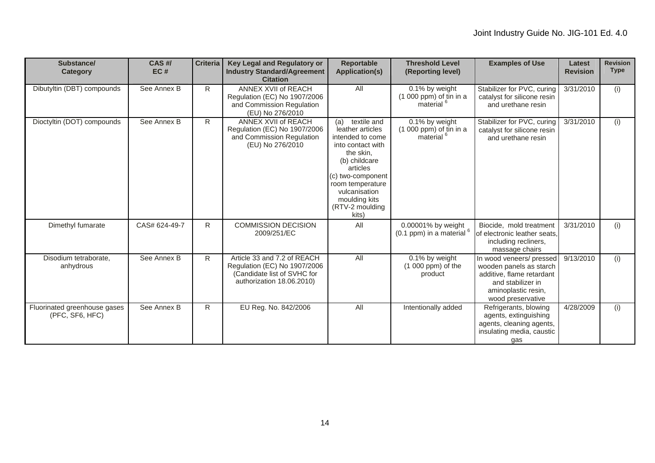| Substance/<br><b>Category</b>                   | $CAS$ #/<br>EC# | <b>Criteria</b> | Key Legal and Regulatory or<br><b>Industry Standard/Agreement</b><br><b>Citation</b>                                    | <b>Reportable</b><br><b>Application(s)</b>                                                                                                                                                                                       | <b>Threshold Level</b><br>(Reporting level)                          | <b>Examples of Use</b>                                                                                                                            | <b>Latest</b><br><b>Revision</b> | <b>Revision</b><br><b>Type</b> |
|-------------------------------------------------|-----------------|-----------------|-------------------------------------------------------------------------------------------------------------------------|----------------------------------------------------------------------------------------------------------------------------------------------------------------------------------------------------------------------------------|----------------------------------------------------------------------|---------------------------------------------------------------------------------------------------------------------------------------------------|----------------------------------|--------------------------------|
| Dibutyltin (DBT) compounds                      | See Annex B     | R.              | ANNEX XVII of REACH<br>Regulation (EC) No 1907/2006<br>and Commission Regulation<br>(EU) No 276/2010                    | All                                                                                                                                                                                                                              | 0.1% by weight<br>$(1 000 ppm)$ of tin in a<br>material <sup>6</sup> | Stabilizer for PVC, curing<br>catalyst for silicone resin<br>and urethane resin                                                                   | 3/31/2010                        | (i)                            |
| Dioctyltin (DOT) compounds                      | See Annex B     | R               | ANNEX XVII of REACH<br>Regulation (EC) No 1907/2006<br>and Commission Regulation<br>(EU) No 276/2010                    | textile and<br>(a)<br>leather articles<br>intended to come<br>into contact with<br>the skin,<br>(b) childcare<br>articles<br>(c) two-component<br>room temperature<br>vulcanisation<br>moulding kits<br>(RTV-2 moulding<br>kits) | 0.1% by weight<br>$(1 000 ppm)$ of tin in a<br>material <sup>6</sup> | Stabilizer for PVC, curing<br>catalyst for silicone resin<br>and urethane resin                                                                   | 3/31/2010                        | (i)                            |
| Dimethyl fumarate                               | CAS# 624-49-7   | $\mathsf{R}$    | <b>COMMISSION DECISION</b><br>2009/251/EC                                                                               | All                                                                                                                                                                                                                              | 0.00001% by weight<br>(0.1 ppm) in a material $6$                    | Biocide, mold treatment<br>of electronic leather seats.<br>including recliners,<br>massage chairs                                                 | 3/31/2010                        | (i)                            |
| Disodium tetraborate.<br>anhydrous              | See Annex B     | R.              | Article 33 and 7.2 of REACH<br>Regulation (EC) No 1907/2006<br>(Candidate list of SVHC for<br>authorization 18.06.2010) | All                                                                                                                                                                                                                              | 0.1% by weight<br>$(1000$ ppm) of the<br>product                     | In wood veneers/ pressed<br>wooden panels as starch<br>additive, flame retardant<br>and stabilizer in<br>aminoplastic resin,<br>wood preservative | 9/13/2010                        | (i)                            |
| Fluorinated greenhouse gases<br>(PFC, SF6, HFC) | See Annex B     | R               | EU Reg. No. 842/2006                                                                                                    | <b>All</b>                                                                                                                                                                                                                       | Intentionally added                                                  | Refrigerants, blowing<br>agents, extinguishing<br>agents, cleaning agents,<br>insulating media, caustic<br>qas                                    | 4/28/2009                        | (i)                            |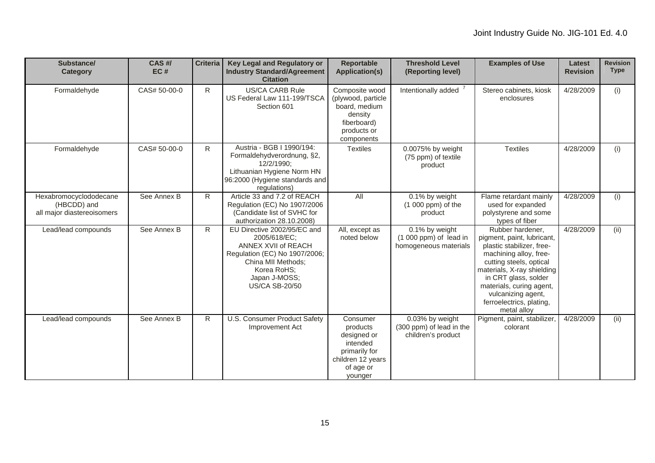| Substance/<br>Category                                              | CAS#/<br>EC# | <b>Criteria</b> | Key Legal and Regulatory or<br><b>Industry Standard/Agreement</b><br><b>Citation</b>                                                                                               | <b>Reportable</b><br><b>Application(s)</b>                                                                    | <b>Threshold Level</b><br>(Reporting level)                        | <b>Examples of Use</b>                                                                                                                                                                                                                                                              | Latest<br><b>Revision</b> | <b>Revision</b><br><b>Type</b> |
|---------------------------------------------------------------------|--------------|-----------------|------------------------------------------------------------------------------------------------------------------------------------------------------------------------------------|---------------------------------------------------------------------------------------------------------------|--------------------------------------------------------------------|-------------------------------------------------------------------------------------------------------------------------------------------------------------------------------------------------------------------------------------------------------------------------------------|---------------------------|--------------------------------|
| Formaldehyde                                                        | CAS# 50-00-0 | R.              | <b>US/CA CARB Rule</b><br>US Federal Law 111-199/TSCA<br>Section 601                                                                                                               | Composite wood<br>(plywood, particle<br>board, medium<br>density<br>fiberboard)<br>products or<br>components  | Intentionally added                                                | Stereo cabinets, kiosk<br>enclosures                                                                                                                                                                                                                                                | 4/28/2009                 | (i)                            |
| Formaldehyde                                                        | CAS# 50-00-0 | $\mathsf{R}$    | Austria - BGB I 1990/194:<br>Formaldehydverordnung, §2,<br>12/2/1990:<br>Lithuanian Hygiene Norm HN<br>96:2000 (Hygiene standards and<br>regulations)                              | <b>Textiles</b>                                                                                               | 0.0075% by weight<br>(75 ppm) of textile<br>product                | <b>Textiles</b>                                                                                                                                                                                                                                                                     | 4/28/2009                 | (i)                            |
| Hexabromocyclododecane<br>(HBCDD) and<br>all major diastereoisomers | See Annex B  | R               | Article 33 and 7.2 of REACH<br>Regulation (EC) No 1907/2006<br>(Candidate list of SVHC for<br>authorization 28.10.2008)                                                            | All                                                                                                           | 0.1% by weight<br>$(1000$ ppm) of the<br>product                   | Flame retardant mainly<br>used for expanded<br>polystyrene and some<br>types of fiber                                                                                                                                                                                               | 4/28/2009                 | (i)                            |
| Lead/lead compounds                                                 | See Annex B  | R               | EU Directive 2002/95/EC and<br>2005/618/EC;<br>ANNEX XVII of REACH<br>Regulation (EC) No 1907/2006;<br>China MII Methods;<br>Korea RoHS;<br>Japan J-MOSS;<br><b>US/CA SB-20/50</b> | All, except as<br>noted below                                                                                 | 0.1% by weight<br>$(1000$ ppm) of lead in<br>homogeneous materials | Rubber hardener.<br>pigment, paint, lubricant,<br>plastic stabilizer, free-<br>machining alloy, free-<br>cutting steels, optical<br>materials, X-ray shielding<br>in CRT glass, solder<br>materials, curing agent,<br>vulcanizing agent,<br>ferroelectrics, plating,<br>metal alloy | 4/28/2009                 | (ii)                           |
| Lead/lead compounds                                                 | See Annex B  | R               | U.S. Consumer Product Safety<br>Improvement Act                                                                                                                                    | Consumer<br>products<br>designed or<br>intended<br>primarily for<br>children 12 years<br>of age or<br>younger | 0.03% by weight<br>(300 ppm) of lead in the<br>children's product  | Pigment, paint, stabilizer,<br>colorant                                                                                                                                                                                                                                             | 4/28/2009                 | (ii)                           |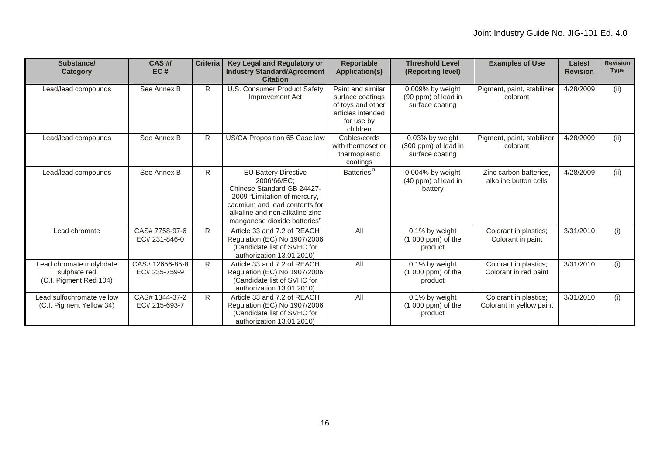| Substance/<br><b>Category</b>                                     | $CAS$ #/<br>EC#                  | <b>Criteria</b> | Key Legal and Regulatory or<br><b>Industry Standard/Agreement</b><br><b>Citation</b>                                                                                                                        | <b>Reportable</b><br><b>Application(s)</b>                                                                | <b>Threshold Level</b><br>(Reporting level)                | <b>Examples of Use</b>                            | Latest<br><b>Revision</b> | <b>Revision</b><br><b>Type</b> |
|-------------------------------------------------------------------|----------------------------------|-----------------|-------------------------------------------------------------------------------------------------------------------------------------------------------------------------------------------------------------|-----------------------------------------------------------------------------------------------------------|------------------------------------------------------------|---------------------------------------------------|---------------------------|--------------------------------|
| Lead/lead compounds                                               | See Annex B                      | R.              | U.S. Consumer Product Safety<br>Improvement Act                                                                                                                                                             | Paint and similar<br>surface coatings<br>of toys and other<br>articles intended<br>for use by<br>children | 0.009% by weight<br>(90 ppm) of lead in<br>surface coating | Pigment, paint, stabilizer,<br>colorant           | 4/28/2009                 | (ii)                           |
| Lead/lead compounds                                               | See Annex B                      | R.              | US/CA Proposition 65 Case law                                                                                                                                                                               | Cables/cords<br>with thermoset or<br>thermoplastic<br>coatings                                            | 0.03% by weight<br>(300 ppm) of lead in<br>surface coating | Pigment, paint, stabilizer,<br>colorant           | 4/28/2009                 | (ii)                           |
| Lead/lead compounds                                               | See Annex B                      | R.              | <b>EU Battery Directive</b><br>2006/66/EC:<br>Chinese Standard GB 24427-<br>2009 "Limitation of mercury,<br>cadmium and lead contents for<br>alkaline and non-alkaline zinc<br>manganese dioxide batteries" | Batteries <sup>5</sup>                                                                                    | 0.004% by weight<br>(40 ppm) of lead in<br>battery         | Zinc carbon batteries.<br>alkaline button cells   | 4/28/2009                 | (ii)                           |
| Lead chromate                                                     | CAS# 7758-97-6<br>EC# 231-846-0  | R.              | Article 33 and 7.2 of REACH<br>Regulation (EC) No 1907/2006<br>(Candidate list of SVHC for<br>authorization 13.01.2010)                                                                                     | All                                                                                                       | 0.1% by weight<br>$(1 000 ppm)$ of the<br>product          | Colorant in plastics;<br>Colorant in paint        | 3/31/2010                 | (i)                            |
| Lead chromate molybdate<br>sulphate red<br>(C.I. Pigment Red 104) | CAS# 12656-85-8<br>EC# 235-759-9 | R.              | Article 33 and 7.2 of REACH<br>Regulation (EC) No 1907/2006<br>(Candidate list of SVHC for<br>authorization 13.01.2010)                                                                                     | All                                                                                                       | 0.1% by weight<br>$(1000$ ppm) of the<br>product           | Colorant in plastics;<br>Colorant in red paint    | 3/31/2010                 | (i)                            |
| Lead sulfochromate yellow<br>(C.I. Pigment Yellow 34)             | CAS# 1344-37-2<br>EC# 215-693-7  | R.              | Article 33 and 7.2 of REACH<br>Regulation (EC) No 1907/2006<br>(Candidate list of SVHC for<br>authorization 13.01.2010)                                                                                     | All                                                                                                       | 0.1% by weight<br>$(1000$ ppm) of the<br>product           | Colorant in plastics;<br>Colorant in yellow paint | 3/31/2010                 | (i)                            |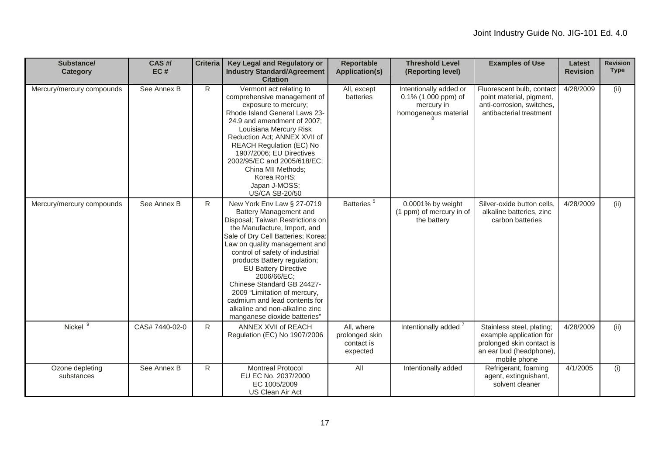| Substance/<br><b>Category</b> | CAS H/<br>EC#  | <b>Criteria</b> | Key Legal and Regulatory or<br><b>Industry Standard/Agreement</b><br><b>Citation</b>                                                                                                                                                                                                                                                                                                                                                                                              | <b>Reportable</b><br><b>Application(s)</b>             | <b>Threshold Level</b><br>(Reporting level)                                         | <b>Examples of Use</b>                                                                                                       | Latest<br><b>Revision</b> | <b>Revision</b><br><b>Type</b> |
|-------------------------------|----------------|-----------------|-----------------------------------------------------------------------------------------------------------------------------------------------------------------------------------------------------------------------------------------------------------------------------------------------------------------------------------------------------------------------------------------------------------------------------------------------------------------------------------|--------------------------------------------------------|-------------------------------------------------------------------------------------|------------------------------------------------------------------------------------------------------------------------------|---------------------------|--------------------------------|
| Mercury/mercury compounds     | See Annex B    | R.              | Vermont act relating to<br>comprehensive management of<br>exposure to mercury;<br>Rhode Island General Laws 23-<br>24.9 and amendment of 2007;<br>Louisiana Mercury Risk<br>Reduction Act; ANNEX XVII of<br><b>REACH Regulation (EC) No</b><br>1907/2006; EU Directives<br>2002/95/EC and 2005/618/EC;<br>China MII Methods;<br>Korea RoHS;<br>Japan J-MOSS;<br><b>US/CA SB-20/50</b>                                                                                             | All, except<br>batteries                               | Intentionally added or<br>0.1% (1 000 ppm) of<br>mercury in<br>homogeneous material | Fluorescent bulb, contact<br>point material, pigment,<br>anti-corrosion, switches,<br>antibacterial treatment                | 4/28/2009                 | (ii)                           |
| Mercury/mercury compounds     | See Annex B    | R.              | New York Env Law § 27-0719<br>Battery Management and<br>Disposal; Taiwan Restrictions on<br>the Manufacture, Import, and<br>Sale of Dry Cell Batteries; Korea:<br>Law on quality management and<br>control of safety of industrial<br>products Battery regulation;<br><b>EU Battery Directive</b><br>2006/66/EC:<br>Chinese Standard GB 24427-<br>2009 "Limitation of mercury,<br>cadmium and lead contents for<br>alkaline and non-alkaline zinc<br>manganese dioxide batteries" | Batteries <sup>5</sup>                                 | 0.0001% by weight<br>(1 ppm) of mercury in of<br>the battery                        | Silver-oxide button cells.<br>alkaline batteries, zinc<br>carbon batteries                                                   | 4/28/2009                 | (ii)                           |
| Nickel <sup>9</sup>           | CAS# 7440-02-0 | R               | ANNEX XVII of REACH<br>Regulation (EC) No 1907/2006                                                                                                                                                                                                                                                                                                                                                                                                                               | All, where<br>prolonged skin<br>contact is<br>expected | Intentionally added <sup>7</sup>                                                    | Stainless steel, plating;<br>example application for<br>prolonged skin contact is<br>an ear bud (headphone),<br>mobile phone | 4/28/2009                 | (ii)                           |
| Ozone depleting<br>substances | See Annex B    | R               | <b>Montreal Protocol</b><br>EU EC No. 2037/2000<br>EC 1005/2009<br>US Clean Air Act                                                                                                                                                                                                                                                                                                                                                                                               | <b>All</b>                                             | Intentionally added                                                                 | Refrigerant, foaming<br>agent, extinguishant,<br>solvent cleaner                                                             | 4/1/2005                  | (i)                            |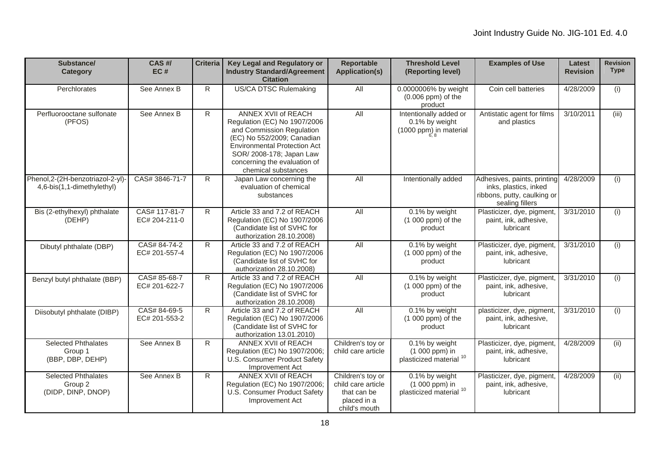| Substance/<br><b>Category</b>                                   | CAS #/<br>EC#                  | <b>Criteria</b> | Key Legal and Regulatory or<br><b>Industry Standard/Agreement</b><br><b>Citation</b>                                                                                                                                                     | <b>Reportable</b><br><b>Application(s)</b>                                             | <b>Threshold Level</b><br>(Reporting level)                            | <b>Examples of Use</b>                                                                                 | <b>Latest</b><br><b>Revision</b> | <b>Revision</b><br><b>Type</b> |
|-----------------------------------------------------------------|--------------------------------|-----------------|------------------------------------------------------------------------------------------------------------------------------------------------------------------------------------------------------------------------------------------|----------------------------------------------------------------------------------------|------------------------------------------------------------------------|--------------------------------------------------------------------------------------------------------|----------------------------------|--------------------------------|
| Perchlorates                                                    | See Annex B                    | R.              | <b>US/CA DTSC Rulemaking</b>                                                                                                                                                                                                             | All                                                                                    | 0.0000006% by weight<br>$(0.006$ ppm) of the<br>product                | Coin cell batteries                                                                                    | 4/28/2009                        | (i)                            |
| Perfluorooctane sulfonate<br>(PFOS)                             | See Annex B                    | R.              | ANNEX XVII of REACH<br>Regulation (EC) No 1907/2006<br>and Commission Regulation<br>(EC) No 552/2009; Canadian<br><b>Environmental Protection Act</b><br>SOR/ 2008-178; Japan Law<br>concerning the evaluation of<br>chemical substances | All                                                                                    | Intentionally added or<br>0.1% by weight<br>(1000 ppm) in material     | Antistatic agent for films<br>and plastics                                                             | 3/10/2011                        | (iii)                          |
| Phenol, 2-(2H-benzotriazol-2-yl)-<br>4,6-bis(1,1-dimethylethyl) | CAS# 3846-71-7                 | R               | Japan Law concerning the<br>evaluation of chemical<br>substances                                                                                                                                                                         | All                                                                                    | Intentionally added                                                    | Adhesives, paints, printing<br>inks, plastics, inked<br>ribbons, putty, caulking or<br>sealing fillers | 4/28/2009                        | (i)                            |
| Bis (2-ethylhexyl) phthalate<br>(DEHP)                          | CAS# 117-81-7<br>EC# 204-211-0 | R.              | Article 33 and 7.2 of REACH<br>Regulation (EC) No 1907/2006<br>(Candidate list of SVHC for<br>authorization 28.10.2008)                                                                                                                  | All                                                                                    | 0.1% by weight<br>$(1000$ ppm) of the<br>product                       | Plasticizer, dye, pigment,<br>paint, ink, adhesive,<br>lubricant                                       | 3/31/2010                        | (i)                            |
| Dibutyl phthalate (DBP)                                         | CAS# 84-74-2<br>EC# 201-557-4  | $\mathsf{R}$    | Article 33 and 7.2 of REACH<br>Regulation (EC) No 1907/2006<br>(Candidate list of SVHC for<br>authorization 28.10.2008)                                                                                                                  | All                                                                                    | 0.1% by weight<br>$(1000$ ppm) of the<br>product                       | Plasticizer, dye, pigment,<br>paint, ink, adhesive,<br>lubricant                                       | 3/31/2010                        | (i)                            |
| Benzyl butyl phthalate (BBP)                                    | CAS# 85-68-7<br>EC# 201-622-7  | $\mathsf{R}$    | Article 33 and 7.2 of REACH<br>Regulation (EC) No 1907/2006<br>(Candidate list of SVHC for<br>authorization 28.10.2008)                                                                                                                  | All                                                                                    | 0.1% by weight<br>(1 000 ppm) of the<br>product                        | Plasticizer, dye, pigment,<br>paint, ink, adhesive,<br>lubricant                                       | 3/31/2010                        | (i)                            |
| Diisobutyl phthalate (DIBP)                                     | CAS# 84-69-5<br>EC# 201-553-2  | R.              | Article 33 and 7.2 of REACH<br>Regulation (EC) No 1907/2006<br>(Candidate list of SVHC for<br>authorization 13.01.2010)                                                                                                                  | All                                                                                    | 0.1% by weight<br>$(1000$ ppm) of the<br>product                       | plasticizer, dye, pigment,<br>paint, ink, adhesive,<br>lubricant                                       | 3/31/2010                        | (i)                            |
| <b>Selected Phthalates</b><br>Group 1<br>(BBP, DBP, DEHP)       | See Annex B                    | R               | ANNEX XVII of REACH<br>Regulation (EC) No 1907/2006;<br>U.S. Consumer Product Safety<br>Improvement Act                                                                                                                                  | Children's toy or<br>child care article                                                | 0.1% by weight<br>(1 000 ppm) in<br>plasticized material $10$          | Plasticizer, dye, pigment<br>paint, ink, adhesive,<br>lubricant                                        | 4/28/2009                        | (iii)                          |
| <b>Selected Phthalates</b><br>Group 2<br>(DIDP, DINP, DNOP)     | See Annex B                    | R               | ANNEX XVII of REACH<br>Regulation (EC) No 1907/2006;<br>U.S. Consumer Product Safety<br>Improvement Act                                                                                                                                  | Children's toy or<br>child care article<br>that can be<br>placed in a<br>child's mouth | 0.1% by weight<br>(1 000 ppm) in<br>plasticized material <sup>10</sup> | Plasticizer, dye, pigment<br>paint, ink, adhesive,<br>lubricant                                        | 4/28/2009                        | (i)                            |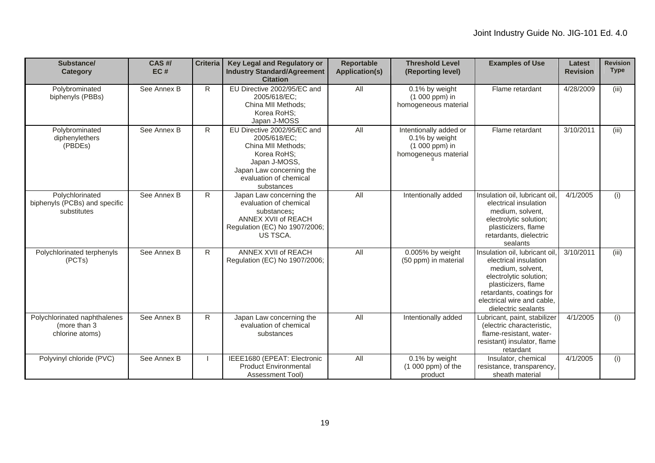| Substance/<br>Category                                           | CAS#/<br>EC# | <b>Criteria</b> | Key Legal and Regulatory or<br><b>Industry Standard/Agreement</b><br><b>Citation</b>                                                                                  | <b>Reportable</b><br><b>Application(s)</b> | <b>Threshold Level</b><br>(Reporting level)                                        | <b>Examples of Use</b>                                                                                                                                                                                       | Latest<br><b>Revision</b> | <b>Revision</b><br><b>Type</b> |
|------------------------------------------------------------------|--------------|-----------------|-----------------------------------------------------------------------------------------------------------------------------------------------------------------------|--------------------------------------------|------------------------------------------------------------------------------------|--------------------------------------------------------------------------------------------------------------------------------------------------------------------------------------------------------------|---------------------------|--------------------------------|
| Polybrominated<br>biphenyls (PBBs)                               | See Annex B  | R.              | EU Directive 2002/95/EC and<br>2005/618/EC:<br>China MII Methods;<br>Korea RoHS:<br>Japan J-MOSS                                                                      | All                                        | 0.1% by weight<br>(1 000 ppm) in<br>homogeneous material                           | Flame retardant                                                                                                                                                                                              | 4/28/2009                 | (iii)                          |
| Polybrominated<br>diphenylethers<br>(PBDEs)                      | See Annex B  | R.              | EU Directive 2002/95/EC and<br>2005/618/EC:<br>China MII Methods;<br>Korea RoHS;<br>Japan J-MOSS,<br>Japan Law concerning the<br>evaluation of chemical<br>substances | All                                        | Intentionally added or<br>0.1% by weight<br>(1 000 ppm) in<br>homogeneous material | Flame retardant                                                                                                                                                                                              | 3/10/2011                 | (iii)                          |
| Polychlorinated<br>biphenyls (PCBs) and specific<br>substitutes  | See Annex B  | $\mathsf{R}$    | Japan Law concerning the<br>evaluation of chemical<br>substances;<br>ANNEX XVII of REACH<br>Regulation (EC) No 1907/2006;<br>US TSCA.                                 | All                                        | Intentionally added                                                                | Insulation oil, lubricant oil.<br>electrical insulation<br>medium, solvent,<br>electrolytic solution;<br>plasticizers, flame<br>retardants, dielectric<br>sealants                                           | 4/1/2005                  | (i)                            |
| Polychlorinated terphenyls<br>(PCTs)                             | See Annex B  | R.              | ANNEX XVII of REACH<br>Regulation (EC) No 1907/2006;                                                                                                                  | All                                        | 0.005% by weight<br>(50 ppm) in material                                           | Insulation oil, lubricant oil<br>electrical insulation<br>medium, solvent,<br>electrolytic solution;<br>plasticizers, flame<br>retardants, coatings for<br>electrical wire and cable.<br>dielectric sealants | 3/10/2011                 | (iii)                          |
| Polychlorinated naphthalenes<br>(more than 3)<br>chlorine atoms) | See Annex B  | R               | Japan Law concerning the<br>evaluation of chemical<br>substances                                                                                                      | All                                        | Intentionally added                                                                | Lubricant, paint, stabilizer<br>(electric characteristic,<br>flame-resistant, water-<br>resistant) insulator, flame<br>retardant                                                                             | 4/1/2005                  | (i)                            |
| Polyvinyl chloride (PVC)                                         | See Annex B  |                 | IEEE1680 (EPEAT: Electronic<br><b>Product Environmental</b><br><b>Assessment Tool)</b>                                                                                | All                                        | 0.1% by weight<br>$(1000$ ppm) of the<br>product                                   | Insulator, chemical<br>resistance, transparency,<br>sheath material                                                                                                                                          | 4/1/2005                  | (i)                            |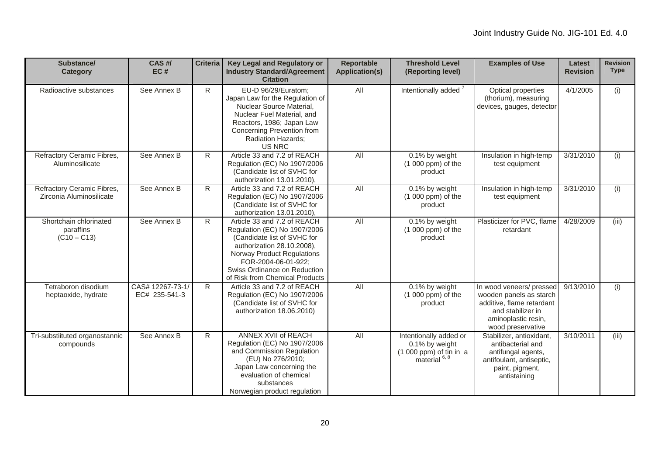| Substance/<br>Category                                 | CAS #/<br>EC#                     | <b>Criteria</b> | Key Legal and Regulatory or<br><b>Industry Standard/Agreement</b><br><b>Citation</b>                                                                                                                                                            | <b>Reportable</b><br><b>Application(s)</b> | <b>Threshold Level</b><br>(Reporting level)                                                      | <b>Examples of Use</b>                                                                                                                            | Latest<br><b>Revision</b> | <b>Revision</b><br><b>Type</b> |
|--------------------------------------------------------|-----------------------------------|-----------------|-------------------------------------------------------------------------------------------------------------------------------------------------------------------------------------------------------------------------------------------------|--------------------------------------------|--------------------------------------------------------------------------------------------------|---------------------------------------------------------------------------------------------------------------------------------------------------|---------------------------|--------------------------------|
| Radioactive substances                                 | See Annex B                       | R               | EU-D 96/29/Euratom;<br>Japan Law for the Regulation of<br>Nuclear Source Material,<br>Nuclear Fuel Material, and<br>Reactors, 1986; Japan Law<br>Concerning Prevention from<br>Radiation Hazards;<br><b>US NRC</b>                              | All                                        | Intentionally added <sup>7</sup>                                                                 | Optical properties<br>(thorium), measuring<br>devices, gauges, detector                                                                           | 4/1/2005                  | (i)                            |
| Refractory Ceramic Fibres,<br>Aluminosilicate          | See Annex B                       | $\mathsf{R}$    | Article 33 and 7.2 of REACH<br>Regulation (EC) No 1907/2006<br>(Candidate list of SVHC for<br>authorization 13.01.2010),                                                                                                                        | <b>All</b>                                 | 0.1% by weight<br>$(1000$ ppm) of the<br>product                                                 | Insulation in high-temp<br>test equipment                                                                                                         | 3/31/2010                 | (i)                            |
| Refractory Ceramic Fibres,<br>Zirconia Aluminosilicate | See Annex B                       | $\mathsf{R}$    | Article 33 and 7.2 of REACH<br>Regulation (EC) No 1907/2006<br>(Candidate list of SVHC for<br>authorization 13.01.2010),                                                                                                                        | All                                        | 0.1% by weight<br>(1 000 ppm) of the<br>product                                                  | Insulation in high-temp<br>test equipment                                                                                                         | 3/31/2010                 | (i)                            |
| Shortchain chlorinated<br>paraffins<br>$(C10 - C13)$   | See Annex B                       | R               | Article 33 and 7.2 of REACH<br>Regulation (EC) No 1907/2006<br>(Candidate list of SVHC for<br>authorization 28.10.2008),<br>Norway Product Regulations<br>FOR-2004-06-01-922;<br>Swiss Ordinance on Reduction<br>of Risk from Chemical Products | All                                        | 0.1% by weight<br>$(1000$ ppm) of the<br>product                                                 | Plasticizer for PVC, flame<br>retardant                                                                                                           | 4/28/2009                 | (iii)                          |
| Tetraboron disodium<br>heptaoxide, hydrate             | CAS# 12267-73-1/<br>EC# 235-541-3 | $\mathsf{R}$    | Article 33 and 7.2 of REACH<br>Regulation (EC) No 1907/2006<br>(Candidate list of SVHC for<br>authorization 18.06.2010)                                                                                                                         | All                                        | 0.1% by weight<br>(1 000 ppm) of the<br>product                                                  | In wood veneers/ pressed<br>wooden panels as starch<br>additive, flame retardant<br>and stabilizer in<br>aminoplastic resin,<br>wood preservative | 9/13/2010                 | (i)                            |
| Tri-substiituted organostannic<br>compounds            | See Annex B                       | $\mathsf{R}$    | ANNEX XVII of REACH<br>Regulation (EC) No 1907/2006<br>and Commission Regulation<br>(EU) No 276/2010;<br>Japan Law concerning the<br>evaluation of chemical<br>substances<br>Norwegian product regulation                                       | All                                        | Intentionally added or<br>0.1% by weight<br>$(1000$ ppm) of tin in a<br>material <sup>6, 8</sup> | Stabilizer, antioxidant,<br>antibacterial and<br>antifungal agents,<br>antifoulant, antiseptic,<br>paint, pigment,<br>antistaining                | 3/10/2011                 | (iii)                          |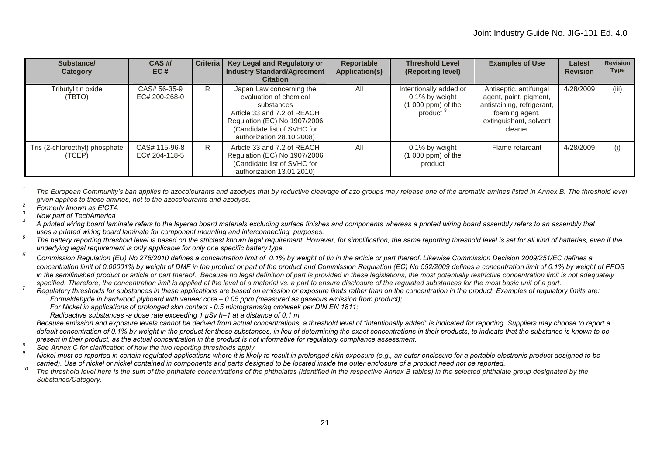| Substance/<br>Category                   | CAS H/<br>EC#                  | Criteria | Key Legal and Regulatory or<br><b>Industry Standard/Agreement</b><br><b>Citation</b>                                                                                                        | Reportable<br><b>Application(s)</b> | <b>Threshold Level</b><br>(Reporting level)                                              | <b>Examples of Use</b>                                                                                                                | Latest<br><b>Revision</b> | <b>Revision</b><br><b>Type</b> |
|------------------------------------------|--------------------------------|----------|---------------------------------------------------------------------------------------------------------------------------------------------------------------------------------------------|-------------------------------------|------------------------------------------------------------------------------------------|---------------------------------------------------------------------------------------------------------------------------------------|---------------------------|--------------------------------|
| Tributyl tin oxide<br>(TBTO)             | CAS# 56-35-9<br>EC# 200-268-0  | R.       | Japan Law concerning the<br>evaluation of chemical<br>substances<br>Article 33 and 7.2 of REACH<br>Regulation (EC) No 1907/2006<br>(Candidate list of SVHC for<br>authorization 28.10.2008) | All                                 | Intentionally added or<br>0.1% by weight<br>$(1 000 ppm)$ of the<br>product <sup>8</sup> | Antiseptic, antifungal<br>agent, paint, pigment,<br>antistaining, refrigerant,<br>foaming agent,<br>extinguishant, solvent<br>cleaner | 4/28/2009                 | (iii)                          |
| Tris (2-chloroethyl) phosphate<br>(TCEP) | CAS# 115-96-8<br>EC# 204-118-5 | R        | Article 33 and 7.2 of REACH<br>Regulation (EC) No 1907/2006<br>(Candidate list of SVHC for<br>authorization 13.01.2010)                                                                     | All                                 | 0.1% by weight<br>$(1 000 ppm)$ of the<br>product                                        | Flame retardant                                                                                                                       | 4/28/2009                 | (i)                            |

*1*The European Community's ban applies to azocolourants and azodyes that by reductive cleavage of azo groups may release one of the aromatic amines listed in Annex B. The threshold level *given applies to these amines, not to the azocolourants and azodyes. 2 Formerly known as EICTA 3 Now part of TechAmerica 4*

*A printed wiring board laminate refers to the layered board materials excluding surface finishes and components whereas a printed wiring board assembly refers to an assembly that* 

uses a printed wiring board laminate for component mounting and interconnecting purposes.<br>The battery reporting threshold level is based on the strictest known legal requirement. However, for simplification, the same repor *underlying legal requirement is only applicable for only one specific battery type.*

*<sup>6</sup> Commission Regulation (EU) No 276/2010 defines a concentration limit of 0.1% by weight of tin in the article or part thereof. Likewise Commission Decision 2009/251/EC defines a concentration limit of 0.00001% by weight of DMF in the product or part of the product and Commission Regulation (EC) No 552/2009 defines a concentration limit of 0.1% by weight of PFOS*  in the semifinished product or article or part thereof. Because no legal definition of part is provided in these legislations, the most potentially restrictive concentration limit is not adequately

specified. Therefore, the concentration limit is applied at the level of a material vs. a part to ensure disclosure of the regulated substances for the most basic unit of a part.<br>Regulatory thresholds for substances in the  *Formaldehyde in hardwood plyboard with veneer core – 0.05 ppm (measured as gaseous emission from product);* 

 *For Nickel in applications of prolonged skin contact - 0.5 micrograms/sq cm/week per DIN EN 1811;* 

 *Radioactive substances -a dose rate exceeding 1 μSv h–1 at a distance of 0,1 m.*

*Because emission and exposure levels cannot be derived from actual concentrations, a threshold level of "intentionally added" is indicated for reporting. Suppliers may choose to report a*  default concentration of 0.1% by weight in the product for these substances, in lieu of determining the exact concentrations in their products, to indicate that the substance is known to be *present in their product, as the actual concentration in the product is not informative for regulatory compliance assessment.*<br><sup>8</sup> See Annex C for clarification of how the two reporting thresholds apply.<br>**9** Michal must b

 *Nickel must be reported in certain regulated applications where it is likely to result in prolonged skin exposure (e.g., an outer enclosure for a portable electronic product designed to be carried). Use of nickel or nickel contained in components and parts designed to be located inside the outer enclosure of a product need not be reported.* 

 *The threshold level here is the sum of the phthalate concentrations of the phthalates (identified in the respective Annex B tables) in the selected phthalate group designated by the Substance/Category.*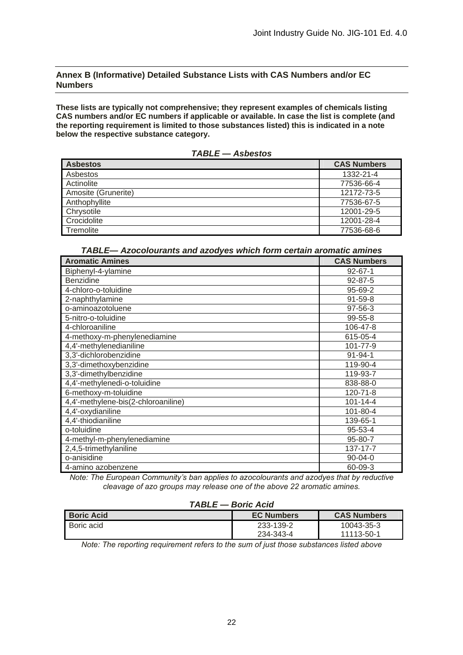#### **Annex B (Informative) Detailed Substance Lists with CAS Numbers and/or EC Numbers**

**These lists are typically not comprehensive; they represent examples of chemicals listing CAS numbers and/or EC numbers if applicable or available. In case the list is complete (and the reporting requirement is limited to those substances listed) this is indicated in a note below the respective substance category.** 

| . . <i>. .</i>      |                    |
|---------------------|--------------------|
| <b>Asbestos</b>     | <b>CAS Numbers</b> |
| Asbestos            | 1332-21-4          |
| Actinolite          | 77536-66-4         |
| Amosite (Grunerite) | 12172-73-5         |
| Anthophyllite       | 77536-67-5         |
| Chrysotile          | 12001-29-5         |
| Crocidolite         | 12001-28-4         |
| Tremolite           | 77536-68-6         |
|                     |                    |

*TABLE — Asbestos* 

| TABLE— Azocolourants and azodyes which form certain aromatic amines |  |  |
|---------------------------------------------------------------------|--|--|
|---------------------------------------------------------------------|--|--|

| <b>Aromatic Amines</b>              | <b>CAS Numbers</b> |
|-------------------------------------|--------------------|
| Biphenyl-4-ylamine                  | $92 - 67 - 1$      |
| <b>Benzidine</b>                    | $92 - 87 - 5$      |
| 4-chloro-o-toluidine                | 95-69-2            |
| 2-naphthylamine                     | $91 - 59 - 8$      |
| o-aminoazotoluene                   | 97-56-3            |
| 5-nitro-o-toluidine                 | $99 - 55 - 8$      |
| 4-chloroaniline                     | 106-47-8           |
| 4-methoxy-m-phenylenediamine        | 615-05-4           |
| 4,4'-methylenedianiline             | 101-77-9           |
| 3,3'-dichlorobenzidine              | $91 - 94 - 1$      |
| 3,3'-dimethoxybenzidine             | 119-90-4           |
| 3,3'-dimethylbenzidine              | 119-93-7           |
| 4,4'-methylenedi-o-toluidine        | 838-88-0           |
| 6-methoxy-m-toluidine               | 120-71-8           |
| 4,4'-methylene-bis(2-chloroaniline) | $101 - 14 - 4$     |
| 4,4'-oxydianiline                   | 101-80-4           |
| 4,4'-thiodianiline                  | 139-65-1           |
| o-toluidine                         | 95-53-4            |
| 4-methyl-m-phenylenediamine         | 95-80-7            |
| 2,4,5-trimethylaniline              | 137-17-7           |
| o-anisidine                         | $90 - 04 - 0$      |
| 4-amino azobenzene                  | 60-09-3            |

*Note: The European Community's ban applies to azocolourants and azodyes that by reductive cleavage of azo groups may release one of the above 22 aromatic amines.* 

#### *TABLE — Boric Acid*

| <b>Boric Acid</b> | <b>EC Numbers</b> | <b>CAS Numbers</b> |
|-------------------|-------------------|--------------------|
| Boric acid        | 233-139-2         | 10043-35-3         |
|                   | 234-343-4         | 11113-50-1         |

*Note: The reporting requirement refers to the sum of just those substances listed above*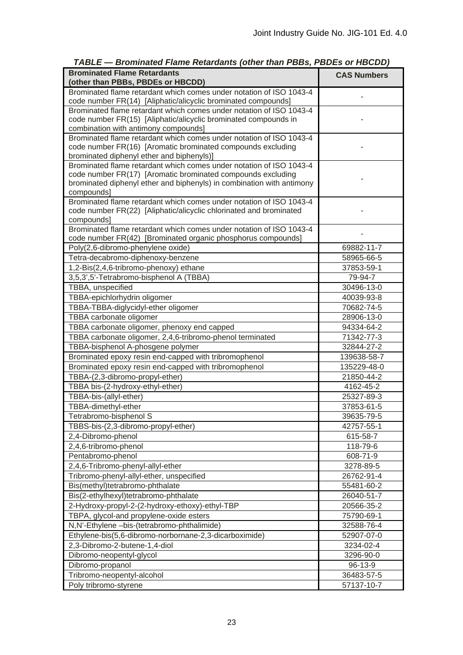| <b>Brominated Flame Retardants</b><br>(other than PBBs, PBDEs or HBCDD)                                                                                                                                                   | <b>CAS Numbers</b> |
|---------------------------------------------------------------------------------------------------------------------------------------------------------------------------------------------------------------------------|--------------------|
| Brominated flame retardant which comes under notation of ISO 1043-4<br>code number FR(14) [Aliphatic/alicyclic brominated compounds]                                                                                      |                    |
| Brominated flame retardant which comes under notation of ISO 1043-4<br>code number FR(15) [Aliphatic/alicyclic brominated compounds in<br>combination with antimony compounds]                                            |                    |
| Brominated flame retardant which comes under notation of ISO 1043-4<br>code number FR(16) [Aromatic brominated compounds excluding<br>brominated diphenyl ether and biphenyls)]                                           |                    |
| Brominated flame retardant which comes under notation of ISO 1043-4<br>code number FR(17) [Aromatic brominated compounds excluding<br>brominated diphenyl ether and biphenyls) in combination with antimony<br>compounds] |                    |
| Brominated flame retardant which comes under notation of ISO 1043-4<br>code number FR(22) [Aliphatic/alicyclic chlorinated and brominated<br>compounds]                                                                   |                    |
| Brominated flame retardant which comes under notation of ISO 1043-4<br>code number FR(42) [Brominated organic phosphorus compounds]                                                                                       |                    |
| Poly(2,6-dibromo-phenylene oxide)                                                                                                                                                                                         | 69882-11-7         |
| Tetra-decabromo-diphenoxy-benzene                                                                                                                                                                                         | 58965-66-5         |
| 1,2-Bis(2,4,6-tribromo-phenoxy) ethane                                                                                                                                                                                    | 37853-59-1         |
| 3,5,3',5'-Tetrabromo-bisphenol A (TBBA)                                                                                                                                                                                   | 79-94-7            |
| TBBA, unspecified                                                                                                                                                                                                         | 30496-13-0         |
| TBBA-epichlorhydrin oligomer                                                                                                                                                                                              | 40039-93-8         |
| TBBA-TBBA-diglycidyl-ether oligomer                                                                                                                                                                                       | 70682-74-5         |
| TBBA carbonate oligomer                                                                                                                                                                                                   | 28906-13-0         |
| TBBA carbonate oligomer, phenoxy end capped                                                                                                                                                                               | 94334-64-2         |
| TBBA carbonate oligomer, 2,4,6-tribromo-phenol terminated                                                                                                                                                                 | 71342-77-3         |
| TBBA-bisphenol A-phosgene polymer                                                                                                                                                                                         | 32844-27-2         |
| Brominated epoxy resin end-capped with tribromophenol                                                                                                                                                                     | 139638-58-7        |
| Brominated epoxy resin end-capped with tribromophenol                                                                                                                                                                     | 135229-48-0        |
| TBBA-(2,3-dibromo-propyl-ether)                                                                                                                                                                                           | 21850-44-2         |
| TBBA bis-(2-hydroxy-ethyl-ether)                                                                                                                                                                                          | 4162-45-2          |
| TBBA-bis-(allyl-ether)                                                                                                                                                                                                    | 25327-89-3         |
| TBBA-dimethyl-ether                                                                                                                                                                                                       | 37853-61-5         |
| Tetrabromo-bisphenol S                                                                                                                                                                                                    | 39635-79-5         |
| TBBS-bis-(2,3-dibromo-propyl-ether)                                                                                                                                                                                       | 42757-55-1         |
| 2,4-Dibromo-phenol                                                                                                                                                                                                        | 615-58-7           |
| 2,4,6-tribromo-phenol                                                                                                                                                                                                     | 118-79-6           |
| Pentabromo-phenol                                                                                                                                                                                                         | 608-71-9           |
| 2,4,6-Tribromo-phenyl-allyl-ether                                                                                                                                                                                         | 3278-89-5          |
| Tribromo-phenyl-allyl-ether, unspecified                                                                                                                                                                                  | 26762-91-4         |
| Bis(methyl)tetrabromo-phthalate                                                                                                                                                                                           | 55481-60-2         |
| Bis(2-ethylhexyl)tetrabromo-phthalate                                                                                                                                                                                     |                    |
|                                                                                                                                                                                                                           | 26040-51-7         |
| 2-Hydroxy-propyl-2-(2-hydroxy-ethoxy)-ethyl-TBP                                                                                                                                                                           | 20566-35-2         |
| TBPA, glycol-and propylene-oxide esters                                                                                                                                                                                   | 75790-69-1         |
| N,N'-Ethylene -bis-(tetrabromo-phthalimide)                                                                                                                                                                               | 32588-76-4         |
| Ethylene-bis(5,6-dibromo-norbornane-2,3-dicarboximide)                                                                                                                                                                    | 52907-07-0         |
| 2,3-Dibromo-2-butene-1,4-diol                                                                                                                                                                                             | 3234-02-4          |
| Dibromo-neopentyl-glycol                                                                                                                                                                                                  | 3296-90-0          |
| Dibromo-propanol                                                                                                                                                                                                          | 96-13-9            |
| Tribromo-neopentyl-alcohol                                                                                                                                                                                                | 36483-57-5         |
| Poly tribromo-styrene                                                                                                                                                                                                     | 57137-10-7         |

*TABLE — Brominated Flame Retardants (other than PBBs, PBDEs or HBCDD)*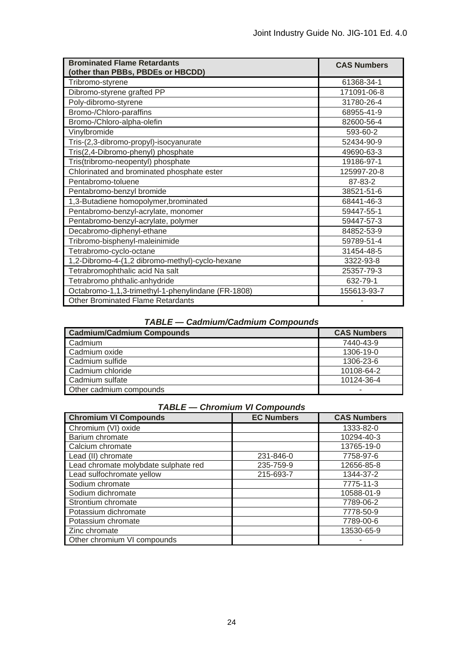| <b>Brominated Flame Retardants</b><br>(other than PBBs, PBDEs or HBCDD) | <b>CAS Numbers</b> |
|-------------------------------------------------------------------------|--------------------|
| Tribromo-styrene                                                        | 61368-34-1         |
| Dibromo-styrene grafted PP                                              | 171091-06-8        |
| Poly-dibromo-styrene                                                    | 31780-26-4         |
| Bromo-/Chloro-paraffins                                                 | 68955-41-9         |
| Bromo-/Chloro-alpha-olefin                                              | 82600-56-4         |
| Vinylbromide                                                            | 593-60-2           |
| Tris-(2,3-dibromo-propyl)-isocyanurate                                  | 52434-90-9         |
| Tris(2,4-Dibromo-phenyl) phosphate                                      | 49690-63-3         |
| Tris(tribromo-neopentyl) phosphate                                      | 19186-97-1         |
| Chlorinated and brominated phosphate ester                              | 125997-20-8        |
| Pentabromo-toluene                                                      | 87-83-2            |
| Pentabromo-benzyl bromide                                               | 38521-51-6         |
| 1,3-Butadiene homopolymer, brominated                                   | 68441-46-3         |
| Pentabromo-benzyl-acrylate, monomer                                     | 59447-55-1         |
| Pentabromo-benzyl-acrylate, polymer                                     | 59447-57-3         |
| Decabromo-diphenyl-ethane                                               | 84852-53-9         |
| Tribromo-bisphenyl-maleinimide                                          | 59789-51-4         |
| Tetrabromo-cyclo-octane                                                 | 31454-48-5         |
| 1,2-Dibromo-4-(1,2 dibromo-methyl)-cyclo-hexane                         | 3322-93-8          |
| Tetrabromophthalic acid Na salt                                         | 25357-79-3         |
| Tetrabromo phthalic-anhydride                                           | 632-79-1           |
| Octabromo-1,1,3-trimethyl-1-phenylindane (FR-1808)                      | 155613-93-7        |
| <b>Other Brominated Flame Retardants</b>                                |                    |

# *TABLE — Cadmium/Cadmium Compounds*

| <b>Cadmium/Cadmium Compounds</b> | <b>CAS Numbers</b> |
|----------------------------------|--------------------|
| Cadmium                          | 7440-43-9          |
| Cadmium oxide                    | 1306-19-0          |
| Cadmium sulfide                  | 1306-23-6          |
| Cadmium chloride                 | 10108-64-2         |
| Cadmium sulfate                  | 10124-36-4         |
| Other cadmium compounds          |                    |

# *TABLE — Chromium VI Compounds*

| <b>Chromium VI Compounds</b>         | <b>EC Numbers</b> | <b>CAS Numbers</b> |
|--------------------------------------|-------------------|--------------------|
| Chromium (VI) oxide                  |                   | 1333-82-0          |
| Barium chromate                      |                   | 10294-40-3         |
| Calcium chromate                     |                   | 13765-19-0         |
| Lead (II) chromate                   | 231-846-0         | 7758-97-6          |
| Lead chromate molybdate sulphate red | 235-759-9         | 12656-85-8         |
| Lead sulfochromate yellow            | 215-693-7         | 1344-37-2          |
| Sodium chromate                      |                   | 7775-11-3          |
| Sodium dichromate                    |                   | 10588-01-9         |
| Strontium chromate                   |                   | 7789-06-2          |
| Potassium dichromate                 |                   | 7778-50-9          |
| Potassium chromate                   |                   | 7789-00-6          |
| Zinc chromate                        |                   | 13530-65-9         |
| Other chromium VI compounds          |                   |                    |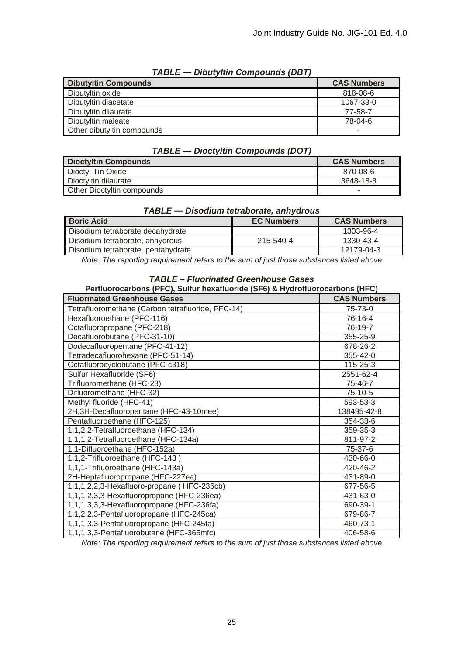| .<br><b>PINGLYKIN OUITINUMING IPPI</b> |                    |
|----------------------------------------|--------------------|
| <b>Dibutyltin Compounds</b>            | <b>CAS Numbers</b> |
| Dibutyltin oxide                       | 818-08-6           |
| Dibutyltin diacetate                   | 1067-33-0          |
| Dibutyltin dilaurate                   | 77-58-7            |
| Dibutyltin maleate                     | 78-04-6            |
| Other dibutyltin compounds             | -                  |

# *TABLE — Dibutyltin Compounds (DBT)*

# *TABLE — Dioctyltin Compounds (DOT)*

| <b>Dioctyltin Compounds</b>       | <b>CAS Numbers</b> |
|-----------------------------------|--------------------|
| Dioctyl Tin Oxide                 | 870-08-6           |
| Dioctyltin dilaurate              | 3648-18-8          |
| <b>Other Dioctyltin compounds</b> |                    |

| .                                  |                   |                    |  |  |
|------------------------------------|-------------------|--------------------|--|--|
| <b>Boric Acid</b>                  | <b>EC Numbers</b> | <b>CAS Numbers</b> |  |  |
| Disodium tetraborate decahydrate   |                   | 1303-96-4          |  |  |
| Disodium tetraborate, anhydrous    | 215-540-4         | 1330-43-4          |  |  |
| Disodium tetraborate, pentahydrate |                   | 12179-04-3         |  |  |

# *TABLE — Disodium tetraborate, anhydrous*

*Note: The reporting requirement refers to the sum of just those substances listed above*

# *TABLE – Fluorinated Greenhouse Gases*

| Perfluorocarbons (PFC), Sulfur hexafluoride (SF6) & Hydrofluorocarbons (HFC) |                    |  |
|------------------------------------------------------------------------------|--------------------|--|
| <b>Fluorinated Greenhouse Gases</b>                                          | <b>CAS Numbers</b> |  |
| Tetrafluoromethane (Carbon tetrafluoride, PFC-14)                            | 75-73-0            |  |
| Hexafluoroethane (PFC-116)                                                   | 76-16-4            |  |
| Octafluoropropane (PFC-218)                                                  | 76-19-7            |  |
| Decafluorobutane (PFC-31-10)                                                 | 355-25-9           |  |
| Dodecafluoropentane (PFC-41-12)                                              | 678-26-2           |  |
| Tetradecafluorohexane (PFC-51-14)                                            | 355-42-0           |  |
| Octafluorocyclobutane (PFC-c318)                                             | 115-25-3           |  |
| Sulfur Hexafluoride (SF6)                                                    | 2551-62-4          |  |
| Trifluoromethane (HFC-23)                                                    | 75-46-7            |  |
| Difluoromethane (HFC-32)                                                     | 75-10-5            |  |
| Methyl fluoride (HFC-41)                                                     | 593-53-3           |  |
| 2H, 3H-Decafluoropentane (HFC-43-10mee)                                      | 138495-42-8        |  |
| Pentafluoroethane (HFC-125)                                                  | 354-33-6           |  |
| 1,1,2,2-Tetrafluoroethane (HFC-134)                                          | 359-35-3           |  |
| 1,1,1,2-Tetrafluoroethane (HFC-134a)                                         | 811-97-2           |  |
| 1,1-Difluoroethane (HFC-152a)                                                | 75-37-6            |  |
| 1,1,2-Trifluoroethane (HFC-143)                                              | 430-66-0           |  |
| 1,1,1-Trifluoroethane (HFC-143a)                                             | 420-46-2           |  |
| 2H-Heptafluoropropane (HFC-227ea)                                            | 431-89-0           |  |
| 1,1,1,2,2,3-Hexafluoro-propane (HFC-236cb)                                   | 677-56-5           |  |
| 1,1,1,2,3,3-Hexafluoropropane (HFC-236ea)                                    | 431-63-0           |  |
| 1,1,1,3,3,3-Hexafluoropropane (HFC-236fa)                                    | 690-39-1           |  |
| 1,1,2,2,3-Pentafluoropropane (HFC-245ca)                                     | 679-86-7           |  |
| 1,1,1,3,3-Pentafluoropropane (HFC-245fa)                                     | 460-73-1           |  |
| 1,1,1,3,3-Pentafluorobutane (HFC-365mfc)                                     | 406-58-6           |  |

*Note: The reporting requirement refers to the sum of just those substances listed above*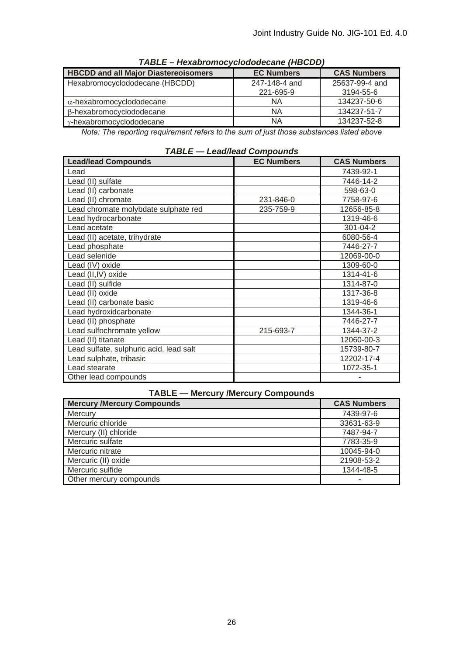| .                                           |                   |                    |
|---------------------------------------------|-------------------|--------------------|
| <b>HBCDD and all Major Diastereoisomers</b> | <b>EC Numbers</b> | <b>CAS Numbers</b> |
| Hexabromocyclododecane (HBCDD)              | 247-148-4 and     | 25637-99-4 and     |
|                                             | 221-695-9         | 3194-55-6          |
| $\alpha$ -hexabromocyclododecane            | <b>NA</b>         | 134237-50-6        |
| $\beta$ -hexabromocyclododecane             | ΝA                | 134237-51-7        |
| $\gamma$ -hexabromocyclododecane            | ΝA                | 134237-52-8        |

*TABLE – Hexabromocyclododecane (HBCDD)* 

*Note: The reporting requirement refers to the sum of just those substances listed above* 

| <b>Lead/lead Compounds</b>              | <b>EC Numbers</b> | <b>CAS Numbers</b> |
|-----------------------------------------|-------------------|--------------------|
| Lead                                    |                   | 7439-92-1          |
| Lead (II) sulfate                       |                   | 7446-14-2          |
| Lead (II) carbonate                     |                   | 598-63-0           |
| Lead (II) chromate                      | 231-846-0         | 7758-97-6          |
| Lead chromate molybdate sulphate red    | 235-759-9         | 12656-85-8         |
| Lead hydrocarbonate                     |                   | 1319-46-6          |
| Lead acetate                            |                   | 301-04-2           |
| Lead (II) acetate, trihydrate           |                   | 6080-56-4          |
| Lead phosphate                          |                   | 7446-27-7          |
| Lead selenide                           |                   | 12069-00-0         |
| Lead (IV) oxide                         |                   | 1309-60-0          |
| Lead (II, IV) oxide                     |                   | 1314-41-6          |
| Lead (II) sulfide                       |                   | 1314-87-0          |
| Lead (II) oxide                         |                   | 1317-36-8          |
| Lead (II) carbonate basic               |                   | 1319-46-6          |
| Lead hydroxidcarbonate                  |                   | 1344-36-1          |
| Lead (II) phosphate                     |                   | 7446-27-7          |
| Lead sulfochromate yellow               | 215-693-7         | 1344-37-2          |
| Lead (II) titanate                      |                   | 12060-00-3         |
| Lead sulfate, sulphuric acid, lead salt |                   | 15739-80-7         |
| Lead sulphate, tribasic                 |                   | 12202-17-4         |
| Lead stearate                           |                   | 1072-35-1          |
| Other lead compounds                    |                   |                    |

*TABLE — Lead/lead Compounds*

|  | <b>TABLE - Mercury /Mercury Compounds</b> |
|--|-------------------------------------------|
|  |                                           |

| <b>Mercury /Mercury Compounds</b> | <b>CAS Numbers</b> |
|-----------------------------------|--------------------|
| Mercury                           | 7439-97-6          |
| Mercuric chloride                 | 33631-63-9         |
| Mercury (II) chloride             | 7487-94-7          |
| Mercuric sulfate                  | 7783-35-9          |
| Mercuric nitrate                  | 10045-94-0         |
| Mercuric (II) oxide               | 21908-53-2         |
| Mercuric sulfide                  | 1344-48-5          |
| Other mercury compounds           |                    |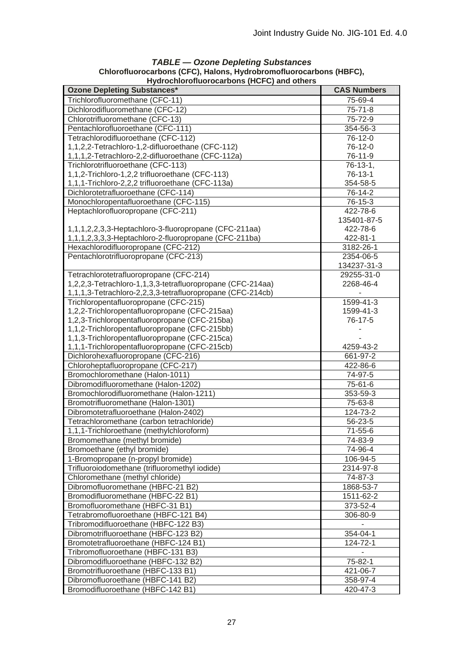| Hydrochlorofluorocarbons (HCFC) and others                 |                    |  |  |
|------------------------------------------------------------|--------------------|--|--|
| <b>Ozone Depleting Substances*</b>                         | <b>CAS Numbers</b> |  |  |
| Trichlorofluoromethane (CFC-11)                            | 75-69-4            |  |  |
| Dichlorodifluoromethane (CFC-12)                           | $75 - 71 - 8$      |  |  |
| Chlorotrifluoromethane (CFC-13)                            | 75-72-9            |  |  |
| Pentachlorofluoroethane (CFC-111)                          | 354-56-3           |  |  |
| Tetrachlorodifluoroethane (CFC-112)                        | 76-12-0            |  |  |
| 1,1,2,2-Tetrachloro-1,2-difluoroethane (CFC-112)           | 76-12-0            |  |  |
| 1,1,1,2-Tetrachloro-2,2-difluoroethane (CFC-112a)          | 76-11-9            |  |  |
| Trichlorotrifluoroethane (CFC-113)                         | $76-13-1.$         |  |  |
| 1,1,2-Trichloro-1,2,2 trifluoroethane (CFC-113)            | 76-13-1            |  |  |
| 1,1,1-Trichloro-2,2,2 trifluoroethane (CFC-113a)           | 354-58-5           |  |  |
| Dichlorotetrafluoroethane (CFC-114)                        | 76-14-2            |  |  |
| Monochloropentafluoroethane (CFC-115)                      | 76-15-3            |  |  |
| Heptachlorofluoropropane (CFC-211)                         | 422-78-6           |  |  |
|                                                            | 135401-87-5        |  |  |
| 1,1,1,2,2,3,3-Heptachloro-3-fluoropropane (CFC-211aa)      | 422-78-6           |  |  |
| 1,1,1,2,3,3,3-Heptachloro-2-fluoropropane (CFC-211ba)      | 422-81-1           |  |  |
| Hexachlorodifluoropropane (CFC-212)                        | 3182-26-1          |  |  |
| Pentachlorotrifluoropropane (CFC-213)                      | 2354-06-5          |  |  |
|                                                            | 134237-31-3        |  |  |
| Tetrachlorotetrafluoropropane (CFC-214)                    | 29255-31-0         |  |  |
| 1,2,2,3-Tetrachloro-1,1,3,3-tetrafluoropropane (CFC-214aa) | 2268-46-4          |  |  |
| 1,1,1,3-Tetrachloro-2,2,3,3-tetrafluoropropane (CFC-214cb) |                    |  |  |
| Trichloropentafluoropropane (CFC-215)                      | 1599-41-3          |  |  |
| 1,2,2-Trichloropentafluoropropane (CFC-215aa)              | 1599-41-3          |  |  |
| 1,2,3-Trichloropentafluoropropane (CFC-215ba)              | 76-17-5            |  |  |
| 1,1,2-Trichloropentafluoropropane (CFC-215bb)              |                    |  |  |
| 1,1,3-Trichloropentafluoropropane (CFC-215ca)              |                    |  |  |
| 1,1,1-Trichloropentafluoropropane (CFC-215cb)              | 4259-43-2          |  |  |
| Dichlorohexafluoropropane (CFC-216)                        | 661-97-2           |  |  |
| Chloroheptafluoropropane (CFC-217)                         | 422-86-6           |  |  |
| Bromochloromethane (Halon-1011)                            | 74-97-5            |  |  |
| Dibromodifluoromethane (Halon-1202)                        | 75-61-6            |  |  |
| Bromochlorodifluoromethane (Halon-1211)                    | 353-59-3           |  |  |
| Bromotrifluoromethane (Halon-1301)                         | 75-63-8            |  |  |
| Dibromotetrafluoroethane (Halon-2402)                      | 124-73-2           |  |  |
| Tetrachloromethane (carbon tetrachloride)                  | 56-23-5            |  |  |
| 1,1,1-Trichloroethane (methylchloroform)                   | 71-55-6            |  |  |
| Bromomethane (methyl bromide)                              | 74-83-9            |  |  |
| Bromoethane (ethyl bromide)                                | 74-96-4            |  |  |
| 1-Bromopropane (n-propyl bromide)                          | 106-94-5           |  |  |
| Trifluoroiodomethane (trifluoromethyl iodide)              | 2314-97-8          |  |  |
| Chloromethane (methyl chloride)                            | 74-87-3            |  |  |
| Dibromofluoromethane (HBFC-21 B2)                          | 1868-53-7          |  |  |
| Bromodifluoromethane (HBFC-22 B1)                          | 1511-62-2          |  |  |
| Bromofluoromethane (HBFC-31 B1)                            | 373-52-4           |  |  |
| Tetrabromofluoroethane (HBFC-121 B4)                       | 306-80-9           |  |  |
| Tribromodifluoroethane (HBFC-122 B3)                       |                    |  |  |
| Dibromotrifluoroethane (HBFC-123 B2)                       | 354-04-1           |  |  |
| Bromotetrafluoroethane (HBFC-124 B1)                       | 124-72-1           |  |  |
| Tribromofluoroethane (HBFC-131 B3)                         | $\blacksquare$     |  |  |
| Dibromodifluoroethane (HBFC-132 B2)                        | 75-82-1            |  |  |
| Bromotrifluoroethane (HBFC-133 B1)                         | 421-06-7           |  |  |
| Dibromofluoroethane (HBFC-141 B2)                          | 358-97-4           |  |  |
| Bromodifluoroethane (HBFC-142 B1)                          | 420-47-3           |  |  |
|                                                            |                    |  |  |

# *TABLE — Ozone Depleting Substances*  **Chlorofluorocarbons (CFC), Halons, Hydrobromofluorocarbons (HBFC),**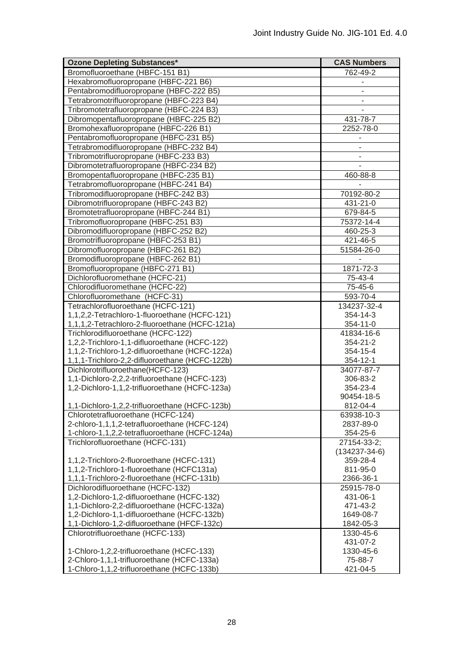| <b>Ozone Depleting Substances*</b>                                                     | <b>CAS Numbers</b>   |
|----------------------------------------------------------------------------------------|----------------------|
| Bromofluoroethane (HBFC-151 B1)                                                        | 762-49-2             |
| Hexabromofluoropropane (HBFC-221 B6)                                                   |                      |
| Pentabromodifluoropropane (HBFC-222 B5)                                                |                      |
| Tetrabromotrifluoropropane (HBFC-223 B4)                                               |                      |
| Tribromotetrafluoropropane (HBFC-224 B3)                                               |                      |
| Dibromopentafluoropropane (HBFC-225 B2)                                                | 431-78-7             |
| Bromohexafluoropropane (HBFC-226 B1)                                                   | 2252-78-0            |
| Pentabromofluoropropane (HBFC-231 B5)                                                  |                      |
| Tetrabromodifluoropropane (HBFC-232 B4)                                                |                      |
| Tribromotrifluoropropane (HBFC-233 B3)                                                 |                      |
| Dibromotetrafluoropropane (HBFC-234 B2)                                                |                      |
| Bromopentafluoropropane (HBFC-235 B1)                                                  | 460-88-8             |
| Tetrabromofluoropropane (HBFC-241 B4)                                                  |                      |
| Tribromodifluoropropane (HBFC-242 B3)                                                  | 70192-80-2           |
| Dibromotrifluoropropane (HBFC-243 B2)                                                  | 431-21-0             |
| Bromotetrafluoropropane (HBFC-244 B1)                                                  | 679-84-5             |
| Tribromofluoropropane (HBFC-251 B3)                                                    | 75372-14-4           |
| Dibromodifluoropropane (HBFC-252 B2)                                                   | 460-25-3             |
| Bromotrifluoropropane (HBFC-253 B1)                                                    | 421-46-5             |
| Dibromofluoropropane (HBFC-261 B2)                                                     | 51584-26-0           |
| Bromodifluoropropane (HBFC-262 B1)                                                     |                      |
| Bromofluoropropane (HBFC-271 B1)                                                       | 1871-72-3            |
| Dichlorofluoromethane (HCFC-21)                                                        | 75-43-4              |
| Chlorodifluoromethane (HCFC-22)                                                        | 75-45-6              |
| Chlorofluoromethane (HCFC-31)                                                          | 593-70-4             |
| Tetrachlorofluoroethane (HCFC-121)                                                     | 134237-32-4          |
| 1,1,2,2-Tetrachloro-1-fluoroethane (HCFC-121)                                          | 354-14-3             |
| 1,1,1,2-Tetrachloro-2-fluoroethane (HCFC-121a)                                         | 354-11-0             |
| Trichlorodifluoroethane (HCFC-122)                                                     | 41834-16-6           |
| 1,2,2-Trichloro-1,1-difluoroethane (HCFC-122)                                          | 354-21-2             |
| 1,1,2-Trichloro-1,2-difluoroethane (HCFC-122a)                                         | 354-15-4             |
| 1,1,1-Trichloro-2,2-difluoroethane (HCFC-122b)                                         | 354-12-1             |
| Dichlorotrifluoroethane(HCFC-123)                                                      | 34077-87-7           |
| 1,1-Dichloro-2,2,2-trifluoroethane (HCFC-123)                                          | 306-83-2             |
| 1,2-Dichloro-1,1,2-trifluoroethane (HCFC-123a)                                         | 354-23-4             |
|                                                                                        | 90454-18-5           |
| 1,1-Dichloro-1,2,2-trifluoroethane (HCFC-123b)                                         | 812-04-4             |
| Chlorotetrafluoroethane (HCFC-124)                                                     | 63938-10-3           |
| 2-chloro-1,1,1,2-tetrafluoroethane (HCFC-124)                                          | 2837-89-0            |
| 1-chloro-1,1,2,2-tetrafluoroethane (HCFC-124a)                                         | 354-25-6             |
| Trichlorofluoroethane (HCFC-131)                                                       | 27154-33-2;          |
|                                                                                        | $(134237 - 34 - 6)$  |
| 1,1,2-Trichloro-2-fluoroethane (HCFC-131)<br>1,1,2-Trichloro-1-fluoroethane (HCFC131a) | 359-28-4<br>811-95-0 |
| 1,1,1-Trichloro-2-fluoroethane (HCFC-131b)                                             | 2366-36-1            |
| Dichlorodifluoroethane (HCFC-132)                                                      | 25915-78-0           |
| 1,2-Dichloro-1,2-difluoroethane (HCFC-132)                                             | 431-06-1             |
| 1,1-Dichloro-2,2-difluoroethane (HCFC-132a)                                            | 471-43-2             |
| 1,2-Dichloro-1,1-difluoroethane (HCFC-132b)                                            | 1649-08-7            |
| 1,1-Dichloro-1,2-difluoroethane (HFCF-132c)                                            | 1842-05-3            |
| Chlorotrifluoroethane (HCFC-133)                                                       | 1330-45-6            |
|                                                                                        | 431-07-2             |
| 1-Chloro-1,2,2-trifluoroethane (HCFC-133)                                              | 1330-45-6            |
| 2-Chloro-1,1,1-trifluoroethane (HCFC-133a)                                             | 75-88-7              |
| 1-Chloro-1,1,2-trifluoroethane (HCFC-133b)                                             | 421-04-5             |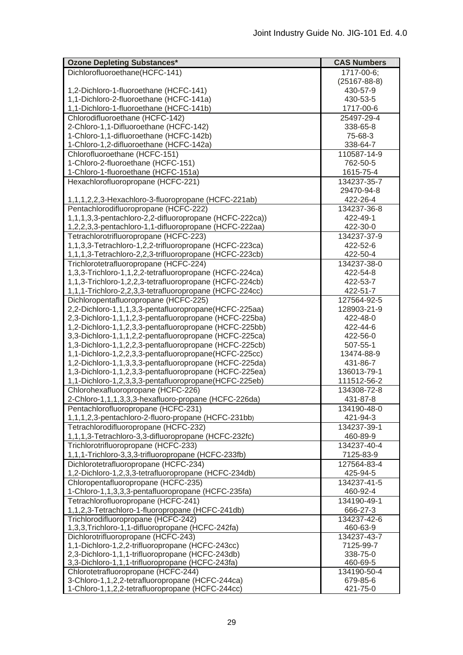| <b>Ozone Depleting Substances*</b>                      | <b>CAS Numbers</b> |
|---------------------------------------------------------|--------------------|
| Dichlorofluoroethane(HCFC-141)                          | 1717-00-6;         |
|                                                         | $(25167 - 88 - 8)$ |
| 1,2-Dichloro-1-fluoroethane (HCFC-141)                  | 430-57-9           |
| 1,1-Dichloro-2-fluoroethane (HCFC-141a)                 | 430-53-5           |
| 1,1-Dichloro-1-fluoroethane (HCFC-141b)                 | 1717-00-6          |
| Chlorodifluoroethane (HCFC-142)                         | 25497-29-4         |
| 2-Chloro-1,1-Difluoroethane (HCFC-142)                  | 338-65-8           |
| 1-Chloro-1,1-difluoroethane (HCFC-142b)                 | 75-68-3            |
| 1-Chloro-1,2-difluoroethane (HCFC-142a)                 | 338-64-7           |
| Chlorofluoroethane (HCFC-151)                           | 110587-14-9        |
| 1-Chloro-2-fluoroethane (HCFC-151)                      | 762-50-5           |
| 1-Chloro-1-fluoroethane (HCFC-151a)                     | 1615-75-4          |
| Hexachlorofluoropropane (HCFC-221)                      | 134237-35-7        |
|                                                         | 29470-94-8         |
| 1,1,1,2,2,3-Hexachloro-3-fluoropropane (HCFC-221ab)     | 422-26-4           |
| Pentachlorodifluoropropane (HCFC-222)                   | 134237-36-8        |
| 1,1,1,3,3-pentachloro-2,2-difluoropropane (HCFC-222ca)) | 422-49-1           |
| 1,2,2,3,3-pentachloro-1,1-difluoropropane (HCFC-222aa)  | 422-30-0           |
| Tetrachlorotrifluoropropane (HCFC-223)                  | 134237-37-9        |
| 1,1,3,3-Tetrachloro-1,2,2-trifluoropropane (HCFC-223ca) | 422-52-6           |
| 1,1,1,3-Tetrachloro-2,2,3-trifluoropropane (HCFC-223cb) | 422-50-4           |
| Trichlorotetrafluoropropane (HCFC-224)                  | 134237-38-0        |
| 1,3,3-Trichloro-1,1,2,2-tetrafluoropropane (HCFC-224ca) | 422-54-8           |
| 1,1,3-Trichloro-1,2,2,3-tetrafluoropropane (HCFC-224cb) | 422-53-7           |
| 1,1,1-Trichloro-2,2,3,3-tetrafluoropropane (HCFC-224cc) | 422-51-7           |
| Dichloropentafluoropropane (HCFC-225)                   | 127564-92-5        |
| 2,2-Dichloro-1,1,1,3,3-pentafluoropropane(HCFC-225aa)   | 128903-21-9        |
| 2,3-Dichloro-1,1,1,2,3-pentafluoropropane (HCFC-225ba)  | 422-48-0           |
| 1,2-Dichloro-1,1,2,3,3-pentafluoropropane (HCFC-225bb)  | 422-44-6           |
| 3,3-Dichloro-1,1,1,2,2-pentafluoropropane (HCFC-225ca)  | 422-56-0           |
| 1,3-Dichloro-1,1,2,2,3-pentafluoropropane (HCFC-225cb)  | 507-55-1           |
| 1,1-Dichloro-1,2,2,3,3-pentafluoropropane(HCFC-225cc)   | 13474-88-9         |
| 1,2-Dichloro-1,1,3,3,3-pentafluoropropane (HCFC-225da)  | 431-86-7           |
| 1,3-Dichloro-1,1,2,3,3-pentafluoropropane (HCFC-225ea)  | 136013-79-1        |
| 1,1-Dichloro-1,2,3,3,3-pentafluoropropane(HCFC-225eb)   | 111512-56-2        |
| Chlorohexafluoropropane (HCFC-226)                      | 134308-72-8        |
| 2-Chloro-1,1,1,3,3,3-hexafluoro-propane (HCFC-226da)    | 431-87-8           |
| Pentachlorofluoropropane (HCFC-231)                     | 134190-48-0        |
| 1,1,1,2,3-pentachloro-2-fluoro-propane (HCFC-231bb)     | 421-94-3           |
| Tetrachlorodifluoropropane (HCFC-232)                   | 134237-39-1        |
| 1,1,1,3-Tetrachloro-3,3-difluoropropane (HCFC-232fc)    | 460-89-9           |
| Trichlorotrifluoropropane (HCFC-233)                    | 134237-40-4        |
| 1,1,1-Trichloro-3,3,3-trifluoropropane (HCFC-233fb)     | 7125-83-9          |
| Dichlorotetrafluoropropane (HCFC-234)                   | 127564-83-4        |
| 1,2-Dichloro-1,2,3,3-tetrafluoropropane (HCFC-234db)    | 425-94-5           |
| Chloropentafluoropropane (HCFC-235)                     | 134237-41-5        |
| 1-Chloro-1,1,3,3,3-pentafluoropropane (HCFC-235fa)      | 460-92-4           |
| Tetrachlorofluoropropane (HCFC-241)                     | 134190-49-1        |
| 1,1,2,3-Tetrachloro-1-fluoropropane (HCFC-241db)        | 666-27-3           |
| Trichlorodifluoropropane (HCFC-242)                     | 134237-42-6        |
| 1,3,3, Trichloro-1, 1-difluoropropane (HCFC-242fa)      | 460-63-9           |
| Dichlorotrifluoropropane (HCFC-243)                     | 134237-43-7        |
| 1,1-Dichloro-1,2,2-trifluoropropane (HCFC-243cc)        | 7125-99-7          |
| 2,3-Dichloro-1,1,1-trifluoropropane (HCFC-243db)        | 338-75-0           |
| 3,3-Dichloro-1,1,1-trifluoropropane (HCFC-243fa)        | 460-69-5           |
| Chlorotetrafluoropropane (HCFC-244)                     | 134190-50-4        |
| 3-Chloro-1,1,2,2-tetrafluoropropane (HCFC-244ca)        | 679-85-6           |
| 1-Chloro-1,1,2,2-tetrafluoropropane (HCFC-244cc)        | 421-75-0           |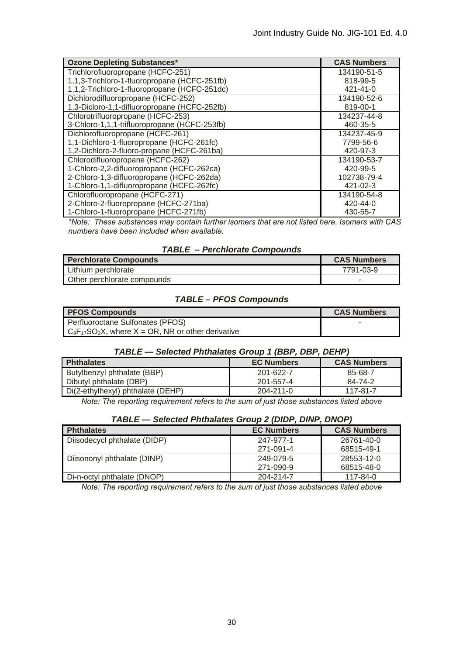| <b>Ozone Depleting Substances*</b>           | <b>CAS Numbers</b> |
|----------------------------------------------|--------------------|
| Trichlorofluoropropane (HCFC-251)            | 134190-51-5        |
| 1,1,3-Trichloro-1-fluoropropane (HCFC-251fb) | 818-99-5           |
| 1,1,2-Trichloro-1-fluoropropane (HCFC-251dc) | 421-41-0           |
| Dichlorodifluoropropane (HCFC-252)           | 134190-52-6        |
| 1,3-Dicloro-1,1-difluoropropane (HCFC-252fb) | 819-00-1           |
| Chlorotrifluoropropane (HCFC-253)            | 134237-44-8        |
| 3-Chloro-1,1,1-trifluoropropane (HCFC-253fb) | 460-35-5           |
| Dichlorofluoropropane (HCFC-261)             | 134237-45-9        |
| 1,1-Dichloro-1-fluoropropane (HCFC-261fc)    | 7799-56-6          |
| 1,2-Dichloro-2-fluoro-propane (HCFC-261ba)   | 420-97-3           |
| Chlorodifluoropropane (HCFC-262)             | 134190-53-7        |
| 1-Chloro-2,2-difluoropropane (HCFC-262ca)    | 420-99-5           |
| 2-Chloro-1,3-difluoropropane (HCFC-262da)    | 102738-79-4        |
| 1-Chloro-1,1-difluoropropane (HCFC-262fc)    | 421-02-3           |
| Chlorofluoropropane (HCFC-271)               | 134190-54-8        |
| 2-Chloro-2-fluoropropane (HCFC-271ba)        | 420-44-0           |
| 1-Chloro-1-fluoropropane (HCFC-271fb)        | 430-55-7           |

*\*Note: These substances may contain further isomers that are not listed here. Isomers with CAS numbers have been included when available.* 

| Perchlorate Compounds       | <b>CAS Numbers</b> |
|-----------------------------|--------------------|
| Lithium perchlorate         | 7791-03-9          |
| Other perchlorate compounds | -                  |

# *TABLE – PFOS Compounds*

| <b>PFOS Compounds</b>                                   | <b>CAS Numbers</b> |
|---------------------------------------------------------|--------------------|
| Perfluoroctane Sulfonates (PFOS)                        |                    |
| $C_8F_{17}SO_2X$ , where X = OR, NR or other derivative |                    |

# *TABLE — Selected Phthalates Group 1 (BBP, DBP, DEHP)*

| <b>Phthalates</b>                 | <b>EC Numbers</b> | <b>CAS Numbers</b> |
|-----------------------------------|-------------------|--------------------|
| Butylbenzyl phthalate (BBP)       | 201-622-7         | 85-68-7            |
| Dibutyl phthalate (DBP)           | 201-557-4         | 84-74-2            |
| Di(2-ethylhexyl) phthalate (DEHP) | $204 - 211 - 0$   | 117-81-7           |

*Note: The reporting requirement refers to the sum of just those substances listed above* 

| TABLE - Selected Phthalates Group 2 (DIDP, DINP, DNOP) |  |
|--------------------------------------------------------|--|
|--------------------------------------------------------|--|

| <b>Phthalates</b>            | <b>EC Numbers</b> | <b>CAS Numbers</b> |
|------------------------------|-------------------|--------------------|
| Diisodecycl phthalate (DIDP) | 247-977-1         | 26761-40-0         |
|                              | 271-091-4         | 68515-49-1         |
| Diisononyl phthalate (DINP)  | 249-079-5         | 28553-12-0         |
|                              | 271-090-9         | 68515-48-0         |
| Di-n-octyl phthalate (DNOP)  | 204-214-7         | 117-84-0           |

*Note: The reporting requirement refers to the sum of just those substances listed above*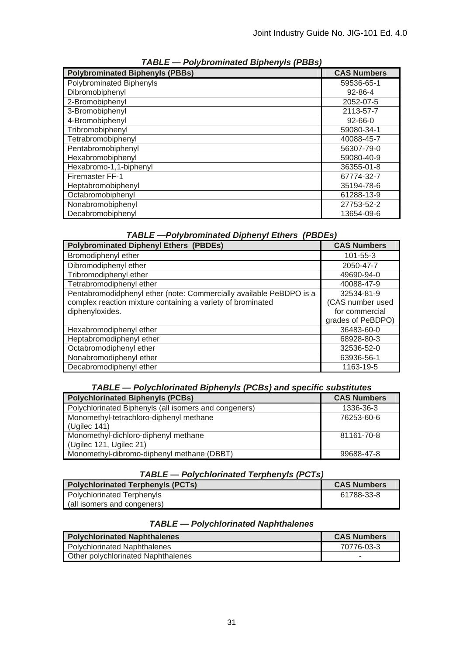| <b>Polybrominated Biphenyls (PBBs)</b> | <b>CAS Numbers</b> |
|----------------------------------------|--------------------|
| Polybrominated Biphenyls               | 59536-65-1         |
| Dibromobiphenyl                        | 92-86-4            |
| 2-Bromobiphenyl                        | 2052-07-5          |
| 3-Bromobiphenyl                        | 2113-57-7          |
| 4-Bromobiphenyl                        | $92 - 66 - 0$      |
| Tribromobiphenyl                       | 59080-34-1         |
| Tetrabromobiphenyl                     | 40088-45-7         |
| Pentabromobiphenyl                     | 56307-79-0         |
| Hexabromobiphenyl                      | 59080-40-9         |
| Hexabromo-1,1-biphenyl                 | 36355-01-8         |
| Firemaster FF-1                        | 67774-32-7         |
| Heptabromobiphenyl                     | 35194-78-6         |
| Octabromobiphenyl                      | 61288-13-9         |
| Nonabromobiphenyl                      | 27753-52-2         |
| Decabromobiphenyl                      | 13654-09-6         |

*TABLE — Polybrominated Biphenyls (PBBs)* 

# *TABLE —Polybrominated Diphenyl Ethers (PBDEs)*

| <b>Polybrominated Diphenyl Ethers (PBDEs)</b>                       | <b>CAS Numbers</b> |
|---------------------------------------------------------------------|--------------------|
| Bromodiphenyl ether                                                 | $101 - 55 - 3$     |
| Dibromodiphenyl ether                                               | 2050-47-7          |
| Tribromodiphenyl ether                                              | 49690-94-0         |
| Tetrabromodiphenyl ether                                            | 40088-47-9         |
| Pentabromodidphenyl ether (note: Commercially available PeBDPO is a | 32534-81-9         |
| complex reaction mixture containing a variety of brominated         | (CAS number used   |
| diphenyloxides.                                                     | for commercial     |
|                                                                     | grades of PeBDPO)  |
| Hexabromodiphenyl ether                                             | 36483-60-0         |
| Heptabromodiphenyl ether                                            | 68928-80-3         |
| Octabromodiphenyl ether                                             | 32536-52-0         |
| Nonabromodiphenyl ether                                             | 63936-56-1         |
| Decabromodiphenyl ether                                             | 1163-19-5          |

#### *TABLE — Polychlorinated Biphenyls (PCBs) and specific substitutes*

| <b>Polychlorinated Biphenyls (PCBs)</b>               | <b>CAS Numbers</b> |
|-------------------------------------------------------|--------------------|
| Polychlorinated Biphenyls (all isomers and congeners) | 1336-36-3          |
| Monomethyl-tetrachloro-diphenyl methane               | 76253-60-6         |
| (Uqilec 141)                                          |                    |
| Monomethyl-dichloro-diphenyl methane                  | 81161-70-8         |
| (Ugilec 121, Ugilec 21)                               |                    |
| Monomethyl-dibromo-diphenyl methane (DBBT)            | 99688-47-8         |

# *TABLE — Polychlorinated Terphenyls (PCTs)*

| <b>Polychlorinated Terphenyls (PCTs)</b> | <b>CAS Numbers</b> |
|------------------------------------------|--------------------|
| Polychlorinated Terphenyls               | 61788-33-8         |
| (all isomers and congeners)              |                    |

# *TABLE — Polychlorinated Naphthalenes*

| <b>Polychlorinated Naphthalenes</b> | <b>CAS Numbers</b> |
|-------------------------------------|--------------------|
| Polychlorinated Naphthalenes        | 70776-03-3         |
| Other polychlorinated Naphthalenes  |                    |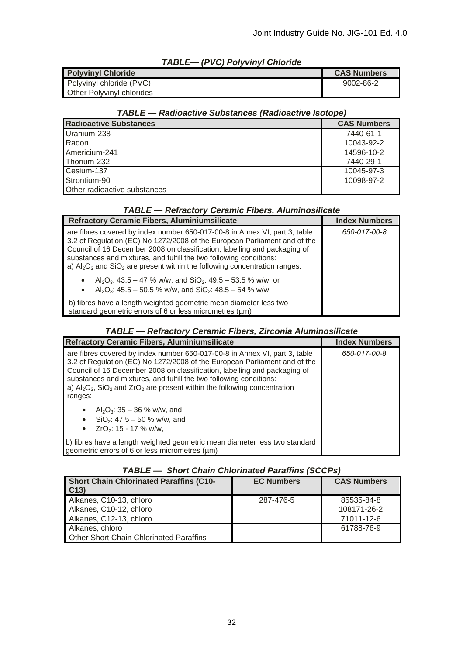| <b>IABLE— (FVC) FOIVVIIIVI CHIOHUE</b> |                    |
|----------------------------------------|--------------------|
| <b>Polyvinyl Chloride</b>              | <b>CAS Numbers</b> |
| Polyvinyl chloride (PVC)               | 9002-86-2          |
| <b>Other Polyvinyl chlorides</b>       |                    |

# *TABLE— (PVC) Polyvinyl Chloride*

# *TABLE — Radioactive Substances (Radioactive Isotope)*

| <b>Radioactive Substances</b> | <b>CAS Numbers</b> |
|-------------------------------|--------------------|
| Uranium-238                   | 7440-61-1          |
| Radon                         | 10043-92-2         |
| Americium-241                 | 14596-10-2         |
| Thorium-232                   | 7440-29-1          |
| Cesium-137                    | 10045-97-3         |
| Strontium-90                  | 10098-97-2         |
| Other radioactive substances  |                    |

# *TABLE — Refractory Ceramic Fibers, Aluminosilicate*

| <b>Refractory Ceramic Fibers, Aluminiumsilicate</b>                                                                                                                                                                                                                                                                                                                                           | <b>Index Numbers</b> |
|-----------------------------------------------------------------------------------------------------------------------------------------------------------------------------------------------------------------------------------------------------------------------------------------------------------------------------------------------------------------------------------------------|----------------------|
| are fibres covered by index number 650-017-00-8 in Annex VI, part 3, table<br>3.2 of Regulation (EC) No 1272/2008 of the European Parliament and of the<br>Council of 16 December 2008 on classification, labelling and packaging of<br>substances and mixtures, and fulfill the two following conditions:<br>a) $Al_2O_3$ and $SiO_2$ are present within the following concentration ranges: | 650-017-00-8         |
| Al <sub>2</sub> O <sub>3</sub> : 43.5 – 47 % w/w, and SiO <sub>2</sub> : 49.5 – 53.5 % w/w, or<br>$\bullet$<br>Al <sub>2</sub> O <sub>3</sub> : 45.5 – 50.5 % w/w, and SiO <sub>2</sub> : 48.5 – 54 % w/w,<br>$\bullet$                                                                                                                                                                       |                      |
| b) fibres have a length weighted geometric mean diameter less two<br>standard geometric errors of 6 or less micrometres (um)                                                                                                                                                                                                                                                                  |                      |

# *TABLE — Refractory Ceramic Fibers, Zirconia Aluminosilicate*

| <b>Refractory Ceramic Fibers, Aluminiumsilicate</b>                                                                                                                                                                                                                                                                                                                                                                          | <b>Index Numbers</b> |
|------------------------------------------------------------------------------------------------------------------------------------------------------------------------------------------------------------------------------------------------------------------------------------------------------------------------------------------------------------------------------------------------------------------------------|----------------------|
| are fibres covered by index number 650-017-00-8 in Annex VI, part 3, table<br>3.2 of Regulation (EC) No 1272/2008 of the European Parliament and of the<br>Council of 16 December 2008 on classification, labelling and packaging of<br>substances and mixtures, and fulfill the two following conditions:<br>a) $Al_2O_3$ , SiO <sub>2</sub> and ZrO <sub>2</sub> are present within the following concentration<br>ranges: | 650-017-00-8         |
| Al <sub>2</sub> O <sub>3</sub> : $35 - 36$ % w/w, and<br>$\bullet$<br>$SiO2: 47.5 - 50 % w/w, and$<br>$ZrO2: 15 - 17 % w/w,$<br>$\bullet$                                                                                                                                                                                                                                                                                    |                      |
| b) fibres have a length weighted geometric mean diameter less two standard<br>geometric errors of 6 or less micrometres (um)                                                                                                                                                                                                                                                                                                 |                      |

# *TABLE — Short Chain Chlorinated Paraffins (SCCPs)*

| <b>Short Chain Chlorinated Paraffins (C10-</b><br>C <sub>13</sub> | <b>EC Numbers</b> | <b>CAS Numbers</b> |
|-------------------------------------------------------------------|-------------------|--------------------|
| Alkanes, C10-13, chloro                                           | 287-476-5         | 85535-84-8         |
| Alkanes, C10-12, chloro                                           |                   | 108171-26-2        |
| Alkanes, C12-13, chloro                                           |                   | 71011-12-6         |
| Alkanes, chloro                                                   |                   | 61788-76-9         |
| <b>Other Short Chain Chlorinated Paraffins</b>                    |                   | -                  |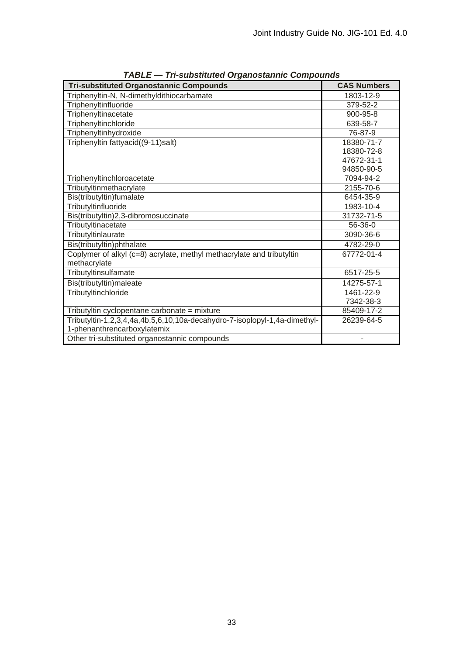| <b>Tri-substituted Organostannic Compounds</b>                            | <b>CAS Numbers</b> |
|---------------------------------------------------------------------------|--------------------|
| Triphenyltin-N, N-dimethyldithiocarbamate                                 | 1803-12-9          |
| Triphenyltinfluoride                                                      | 379-52-2           |
| Triphenyltinacetate                                                       | 900-95-8           |
| Triphenyltinchloride                                                      | 639-58-7           |
| Triphenyltinhydroxide                                                     | 76-87-9            |
| Triphenyltin fattyacid((9-11)salt)                                        | 18380-71-7         |
|                                                                           | 18380-72-8         |
|                                                                           | 47672-31-1         |
|                                                                           | 94850-90-5         |
| Triphenyltinchloroacetate                                                 | 7094-94-2          |
| Tributyltinmethacrylate                                                   | 2155-70-6          |
| Bis(tributyltin)fumalate                                                  | 6454-35-9          |
| Tributyltinfluoride                                                       | 1983-10-4          |
| Bis(tributyltin)2,3-dibromosuccinate                                      | 31732-71-5         |
| Tributyltinacetate                                                        | $56-36-0$          |
| Tributyltinlaurate                                                        | 3090-36-6          |
| Bis(tributyltin)phthalate                                                 | 4782-29-0          |
| Coplymer of alkyl (c=8) acrylate, methyl methacrylate and tributyltin     | 67772-01-4         |
| methacrylate                                                              |                    |
| Tributyltinsulfamate                                                      | 6517-25-5          |
| Bis(tributyltin)maleate                                                   | 14275-57-1         |
| Tributyltinchloride                                                       | 1461-22-9          |
|                                                                           | 7342-38-3          |
| Tributyltin cyclopentane carbonate = mixture                              | 85409-17-2         |
| Tributyltin-1,2,3,4,4a,4b,5,6,10,10a-decahydro-7-isoplopyl-1,4a-dimethyl- | 26239-64-5         |
| 1-phenanthrencarboxylatemix                                               |                    |
| Other tri-substituted organostannic compounds                             |                    |

*TABLE — Tri-substituted Organostannic Compounds*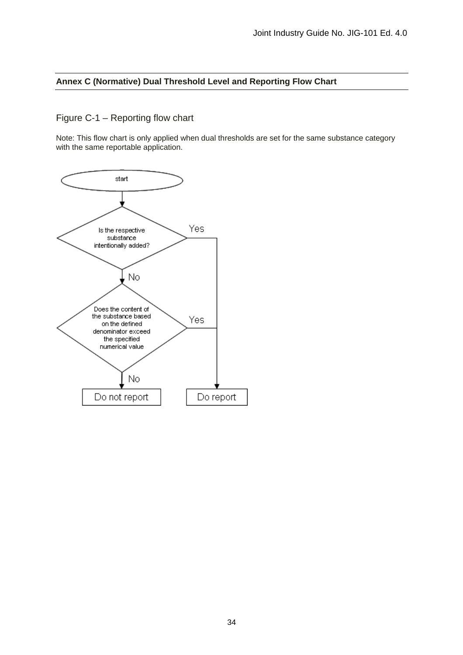#### **Annex C (Normative) Dual Threshold Level and Reporting Flow Chart**

# Figure C-1 – Reporting flow chart

Note: This flow chart is only applied when dual thresholds are set for the same substance category with the same reportable application.

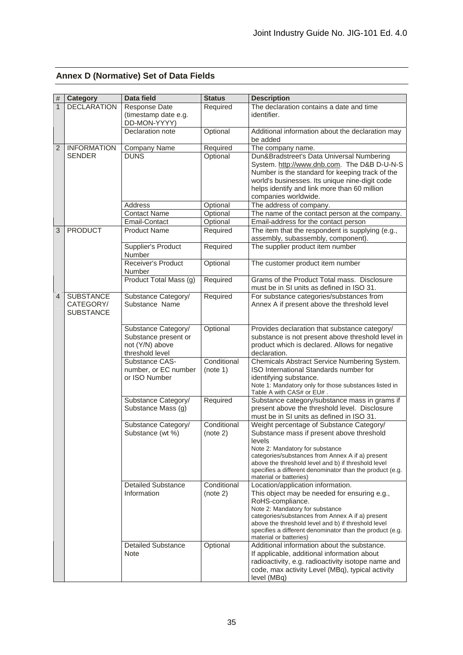|  | <b>Annex D (Normative) Set of Data Fields</b> |  |  |
|--|-----------------------------------------------|--|--|
|--|-----------------------------------------------|--|--|

| #              | <b>Category</b>    | <b>Data field</b>                        | <b>Status</b>           | <b>Description</b>                                                                                              |
|----------------|--------------------|------------------------------------------|-------------------------|-----------------------------------------------------------------------------------------------------------------|
| $\overline{1}$ | <b>DECLARATION</b> | Response Date                            | Required                | The declaration contains a date and time                                                                        |
|                |                    | (timestamp date e.g.                     |                         | identifier.                                                                                                     |
|                |                    | DD-MON-YYYY)                             |                         |                                                                                                                 |
|                |                    | Declaration note                         | Optional                | Additional information about the declaration may<br>be added                                                    |
| $\overline{2}$ | <b>INFORMATION</b> | Company Name                             | Required                | The company name.                                                                                               |
|                | <b>SENDER</b>      | <b>DUNS</b>                              | Optional                | Dun&Bradstreet's Data Universal Numbering                                                                       |
|                |                    |                                          |                         | System. http://www.dnb.com. The D&B D-U-N-S                                                                     |
|                |                    |                                          |                         | Number is the standard for keeping track of the                                                                 |
|                |                    |                                          |                         | world's businesses. Its unique nine-digit code                                                                  |
|                |                    |                                          |                         | helps identify and link more than 60 million<br>companies worldwide.                                            |
|                |                    | Address                                  | Optional                | The address of company.                                                                                         |
|                |                    | <b>Contact Name</b>                      | Optional                | The name of the contact person at the company.                                                                  |
|                |                    | Email-Contact                            | Optional                | Email-address for the contact person                                                                            |
| 3              | <b>PRODUCT</b>     | <b>Product Name</b>                      | Required                | The item that the respondent is supplying (e.g.,                                                                |
|                |                    |                                          |                         | assembly, subassembly, component).                                                                              |
|                |                    | Supplier's Product                       | Required                | The supplier product item number                                                                                |
|                |                    | Number<br>Receiver's Product             | Optional                | The customer product item number                                                                                |
|                |                    | Number                                   |                         |                                                                                                                 |
|                |                    | Product Total Mass (g)                   | Required                | Grams of the Product Total mass. Disclosure                                                                     |
|                |                    |                                          |                         | must be in SI units as defined in ISO 31.                                                                       |
| 4              | <b>SUBSTANCE</b>   | Substance Category/                      | Required                | For substance categories/substances from                                                                        |
|                | CATEGORY/          | Substance Name                           |                         | Annex A if present above the threshold level                                                                    |
|                | <b>SUBSTANCE</b>   |                                          |                         |                                                                                                                 |
|                |                    | Substance Category/                      | Optional                | Provides declaration that substance category/                                                                   |
|                |                    | Substance present or                     |                         | substance is not present above threshold level in                                                               |
|                |                    | not (Y/N) above                          |                         | product which is declared. Allows for negative                                                                  |
|                |                    | threshold level                          |                         | declaration.                                                                                                    |
|                |                    | Substance CAS-                           | Conditional             | Chemicals Abstract Service Numbering System.<br>ISO International Standards number for                          |
|                |                    | number, or EC number<br>or ISO Number    | (note 1)                | identifying substance.                                                                                          |
|                |                    |                                          |                         | Note 1: Mandatory only for those substances listed in                                                           |
|                |                    |                                          |                         | Table A with CAS# or EU#.                                                                                       |
|                |                    | Substance Category/                      | Required                | Substance category/substance mass in grams if                                                                   |
|                |                    | Substance Mass (g)                       |                         | present above the threshold level. Disclosure<br>must be in SI units as defined in ISO 31.                      |
|                |                    | Substance Category/                      | Conditional             | Weight percentage of Substance Category/                                                                        |
|                |                    | Substance (wt %)                         | (note 2)                | Substance mass if present above threshold                                                                       |
|                |                    |                                          |                         | levels                                                                                                          |
|                |                    |                                          |                         | Note 2: Mandatory for substance<br>categories/substances from Annex A if a) present                             |
|                |                    |                                          |                         | above the threshold level and b) if threshold level                                                             |
|                |                    |                                          |                         | specifies a different denominator than the product (e.g.                                                        |
|                |                    |                                          |                         | material or batteries)                                                                                          |
|                |                    | <b>Detailed Substance</b><br>Information | Conditional<br>(note 2) | Location/application information.<br>This object may be needed for ensuring e.g.,                               |
|                |                    |                                          |                         | RoHS-compliance.                                                                                                |
|                |                    |                                          |                         | Note 2: Mandatory for substance                                                                                 |
|                |                    |                                          |                         | categories/substances from Annex A if a) present                                                                |
|                |                    |                                          |                         | above the threshold level and b) if threshold level<br>specifies a different denominator than the product (e.g. |
|                |                    |                                          |                         | material or batteries)                                                                                          |
|                |                    | <b>Detailed Substance</b>                | Optional                | Additional information about the substance.                                                                     |
|                |                    | Note                                     |                         | If applicable, additional information about                                                                     |
|                |                    |                                          |                         | radioactivity, e.g. radioactivity isotope name and<br>code, max activity Level (MBq), typical activity          |
|                |                    |                                          |                         | level (MBq)                                                                                                     |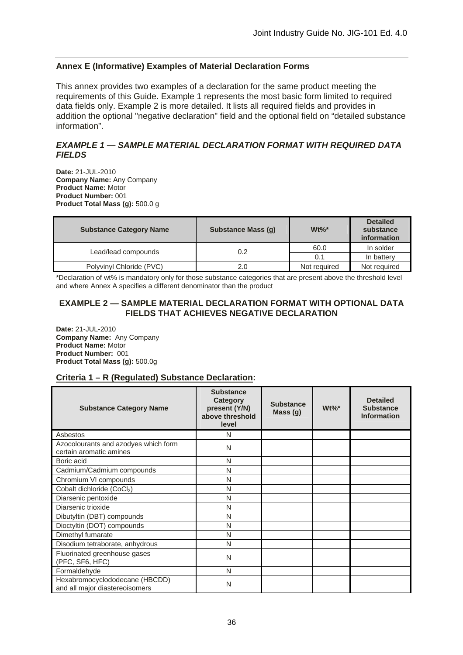# **Annex E (Informative) Examples of Material Declaration Forms**

This annex provides two examples of a declaration for the same product meeting the requirements of this Guide. Example 1 represents the most basic form limited to required data fields only. Example 2 is more detailed. It lists all required fields and provides in addition the optional "negative declaration" field and the optional field on "detailed substance information".

# *EXAMPLE 1 — SAMPLE MATERIAL DECLARATION FORMAT WITH REQUIRED DATA FIELDS*

**Date:** 21-JUL-2010 **Company Name:** Any Company **Product Name:** Motor **Product Number:** 001 **Product Total Mass (g):** 500.0 g

| <b>Substance Category Name</b> | <b>Substance Mass (g)</b> | $Wt\%$ <sup>*</sup> | <b>Detailed</b><br>substance<br><i>information</i> |
|--------------------------------|---------------------------|---------------------|----------------------------------------------------|
| Lead/lead compounds            | 0.2                       | 60.0                | In solder                                          |
|                                |                           | 0.1                 | In battery                                         |
| Polyvinyl Chloride (PVC)       | 2.0                       | Not required        | Not required                                       |

\*Declaration of wt% is mandatory only for those substance categories that are present above the threshold level and where Annex A specifies a different denominator than the product

#### **EXAMPLE 2 — SAMPLE MATERIAL DECLARATION FORMAT WITH OPTIONAL DATA FIELDS THAT ACHIEVES NEGATIVE DECLARATION**

**Date:** 21-JUL-2010 **Company Name:** Any Company **Product Name:** Motor **Product Number:** 001 **Product Total Mass (g):** 500.0g

# **Criteria 1 – R (Regulated) Substance Declaration:**

| <b>Substance Category Name</b>                                   | <b>Substance</b><br>Category<br>present (Y/N)<br>above threshold<br>level | <b>Substance</b><br>Mass(g) | $Wt\%$ * | <b>Detailed</b><br><b>Substance</b><br><b>Information</b> |
|------------------------------------------------------------------|---------------------------------------------------------------------------|-----------------------------|----------|-----------------------------------------------------------|
| Asbestos                                                         | N                                                                         |                             |          |                                                           |
| Azocolourants and azodyes which form<br>certain aromatic amines  | N                                                                         |                             |          |                                                           |
| Boric acid                                                       | N                                                                         |                             |          |                                                           |
| Cadmium/Cadmium compounds                                        | N                                                                         |                             |          |                                                           |
| Chromium VI compounds                                            | N                                                                         |                             |          |                                                           |
| Cobalt dichloride (CoCl2)                                        | N                                                                         |                             |          |                                                           |
| Diarsenic pentoxide                                              | N                                                                         |                             |          |                                                           |
| Diarsenic trioxide                                               | N                                                                         |                             |          |                                                           |
| Dibutyltin (DBT) compounds                                       | N                                                                         |                             |          |                                                           |
| Dioctyltin (DOT) compounds                                       | N                                                                         |                             |          |                                                           |
| Dimethyl fumarate                                                | N                                                                         |                             |          |                                                           |
| Disodium tetraborate, anhydrous                                  | N                                                                         |                             |          |                                                           |
| Fluorinated greenhouse gases<br>(PFC, SF6, HFC)                  | N                                                                         |                             |          |                                                           |
| Formaldehyde                                                     | N                                                                         |                             |          |                                                           |
| Hexabromocyclododecane (HBCDD)<br>and all major diastereoisomers | N                                                                         |                             |          |                                                           |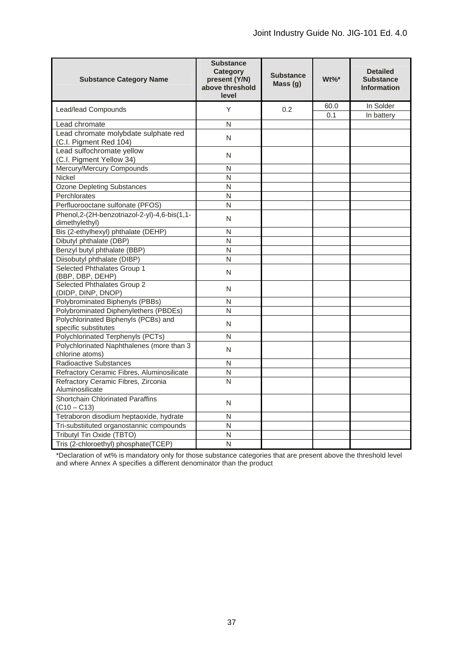| <b>Substance Category Name</b>                                    | <b>Substance</b><br><b>Category</b><br>present (Y/N)<br>above threshold<br>level | <b>Substance</b><br>Mass(q) | $Wt\%$ * | <b>Detailed</b><br><b>Substance</b><br><b>Information</b> |
|-------------------------------------------------------------------|----------------------------------------------------------------------------------|-----------------------------|----------|-----------------------------------------------------------|
| Lead/lead Compounds                                               | Y                                                                                | 0.2                         | 60.0     | In Solder                                                 |
|                                                                   |                                                                                  |                             | 0.1      | In battery                                                |
| Lead chromate                                                     | N                                                                                |                             |          |                                                           |
| Lead chromate molybdate sulphate red<br>(C.I. Pigment Red 104)    | N                                                                                |                             |          |                                                           |
| Lead sulfochromate yellow<br>(C.I. Pigment Yellow 34)             | N                                                                                |                             |          |                                                           |
| Mercury/Mercury Compounds                                         | N                                                                                |                             |          |                                                           |
| <b>Nickel</b>                                                     | N                                                                                |                             |          |                                                           |
| <b>Ozone Depleting Substances</b>                                 | N                                                                                |                             |          |                                                           |
| Perchlorates                                                      | N                                                                                |                             |          |                                                           |
| Perfluorooctane sulfonate (PFOS)                                  | N                                                                                |                             |          |                                                           |
| Phenol, 2-(2H-benzotriazol-2-yl)-4, 6-bis(1, 1-<br>dimethylethyl) | N                                                                                |                             |          |                                                           |
| Bis (2-ethylhexyl) phthalate (DEHP)                               | N                                                                                |                             |          |                                                           |
| Dibutyl phthalate (DBP)                                           | $\overline{N}$                                                                   |                             |          |                                                           |
| Benzyl butyl phthalate (BBP)                                      | N                                                                                |                             |          |                                                           |
| Diisobutyl phthalate (DIBP)                                       | N                                                                                |                             |          |                                                           |
| Selected Phthalates Group 1<br>(BBP, DBP, DEHP)                   | N                                                                                |                             |          |                                                           |
| Selected Phthalates Group 2<br>(DIDP, DINP, DNOP)                 | N                                                                                |                             |          |                                                           |
| Polybrominated Biphenyls (PBBs)                                   | N                                                                                |                             |          |                                                           |
| Polybrominated Diphenylethers (PBDEs)                             | N                                                                                |                             |          |                                                           |
| Polychlorinated Biphenyls (PCBs) and<br>specific substitutes      | N                                                                                |                             |          |                                                           |
| Polychlorinated Terphenyls (PCTs)                                 | N                                                                                |                             |          |                                                           |
| Polychlorinated Naphthalenes (more than 3<br>chlorine atoms)      | N                                                                                |                             |          |                                                           |
| Radioactive Substances                                            | N                                                                                |                             |          |                                                           |
| Refractory Ceramic Fibres, Aluminosilicate                        | $\overline{N}$                                                                   |                             |          |                                                           |
| Refractory Ceramic Fibres, Zirconia<br>Aluminosilicate            | N                                                                                |                             |          |                                                           |
| Shortchain Chlorinated Paraffins<br>$(C10 - C13)$                 | N                                                                                |                             |          |                                                           |
| Tetraboron disodium heptaoxide, hydrate                           | N                                                                                |                             |          |                                                           |
| Tri-substiituted organostannic compounds                          | N                                                                                |                             |          |                                                           |
| Tributyl Tin Oxide (TBTO)                                         | N                                                                                |                             |          |                                                           |
| Tris (2-chloroethyl) phosphate(TCEP)                              | N                                                                                |                             |          |                                                           |

\*Declaration of wt% is mandatory only for those substance categories that are present above the threshold level and where Annex A specifies a different denominator than the product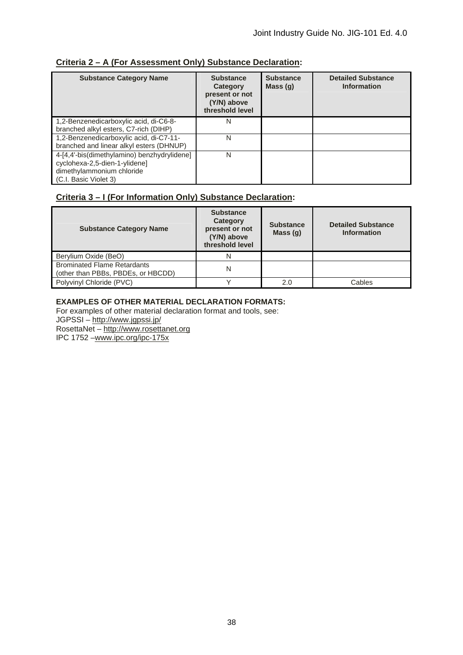# **Criteria 2 – A (For Assessment Only) Substance Declaration:**

| <b>Substance Category Name</b>              | <b>Substance</b><br>Category<br>present or not<br>(Y/N) above<br>threshold level | <b>Substance</b><br>Mass $(g)$ | <b>Detailed Substance</b><br><b>Information</b> |
|---------------------------------------------|----------------------------------------------------------------------------------|--------------------------------|-------------------------------------------------|
| 1,2-Benzenedicarboxylic acid, di-C6-8-      | N                                                                                |                                |                                                 |
| branched alkyl esters, C7-rich (DIHP)       |                                                                                  |                                |                                                 |
| 1,2-Benzenedicarboxylic acid, di-C7-11-     | N                                                                                |                                |                                                 |
| branched and linear alkyl esters (DHNUP)    |                                                                                  |                                |                                                 |
| 4-[4,4'-bis(dimethylamino) benzhydrylidene] | N                                                                                |                                |                                                 |
| cyclohexa-2,5-dien-1-ylidene]               |                                                                                  |                                |                                                 |
| dimethylammonium chloride                   |                                                                                  |                                |                                                 |
| (C.I. Basic Violet 3)                       |                                                                                  |                                |                                                 |

# **Criteria 3 – I (For Information Only) Substance Declaration:**

| <b>Substance Category Name</b>                                           | <b>Substance</b><br>Category<br>present or not<br>(Y/N) above<br>threshold level | <b>Substance</b><br>Mass $(g)$ | <b>Detailed Substance</b><br><b>Information</b> |
|--------------------------------------------------------------------------|----------------------------------------------------------------------------------|--------------------------------|-------------------------------------------------|
| Berylium Oxide (BeO)                                                     | N                                                                                |                                |                                                 |
| <b>Brominated Flame Retardants</b><br>(other than PBBs, PBDEs, or HBCDD) | N                                                                                |                                |                                                 |
| Polyvinyl Chloride (PVC)                                                 |                                                                                  | 2.0                            | Cables                                          |

# **EXAMPLES OF OTHER MATERIAL DECLARATION FORMATS:**

For examples of other material declaration format and tools, see:

JGPSSI – http://www.jgpssi.jp/

RosettaNet – http://www.rosettanet.org

IPC 1752 –www.ipc.org/ipc-175x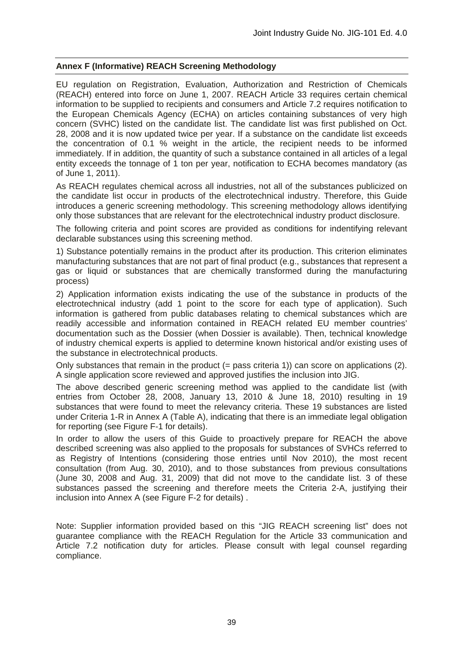# **Annex F (Informative) REACH Screening Methodology**

EU regulation on Registration, Evaluation, Authorization and Restriction of Chemicals (REACH) entered into force on June 1, 2007. REACH Article 33 requires certain chemical information to be supplied to recipients and consumers and Article 7.2 requires notification to the European Chemicals Agency (ECHA) on articles containing substances of very high concern (SVHC) listed on the candidate list. The candidate list was first published on Oct. 28, 2008 and it is now updated twice per year. If a substance on the candidate list exceeds the concentration of 0.1 % weight in the article, the recipient needs to be informed immediately. If in addition, the quantity of such a substance contained in all articles of a legal entity exceeds the tonnage of 1 ton per year, notification to ECHA becomes mandatory (as of June 1, 2011).

As REACH regulates chemical across all industries, not all of the substances publicized on the candidate list occur in products of the electrotechnical industry. Therefore, this Guide introduces a generic screening methodology. This screening methodology allows identifying only those substances that are relevant for the electrotechnical industry product disclosure.

The following criteria and point scores are provided as conditions for indentifying relevant declarable substances using this screening method.

1) Substance potentially remains in the product after its production. This criterion eliminates manufacturing substances that are not part of final product (e.g., substances that represent a gas or liquid or substances that are chemically transformed during the manufacturing process)

2) Application information exists indicating the use of the substance in products of the electrotechnical industry (add 1 point to the score for each type of application). Such information is gathered from public databases relating to chemical substances which are readily accessible and information contained in REACH related EU member countries' documentation such as the Dossier (when Dossier is available). Then, technical knowledge of industry chemical experts is applied to determine known historical and/or existing uses of the substance in electrotechnical products.

Only substances that remain in the product (= pass criteria 1)) can score on applications (2). A single application score reviewed and approved justifies the inclusion into JIG.

The above described generic screening method was applied to the candidate list (with entries from October 28, 2008, January 13, 2010 & June 18, 2010) resulting in 19 substances that were found to meet the relevancy criteria. These 19 substances are listed under Criteria 1-R in Annex A (Table A), indicating that there is an immediate legal obligation for reporting (see Figure F-1 for details).

In order to allow the users of this Guide to proactively prepare for REACH the above described screening was also applied to the proposals for substances of SVHCs referred to as Registry of Intentions (considering those entries until Nov 2010), the most recent consultation (from Aug. 30, 2010), and to those substances from previous consultations (June 30, 2008 and Aug. 31, 2009) that did not move to the candidate list. 3 of these substances passed the screening and therefore meets the Criteria 2-A, justifying their inclusion into Annex A (see Figure F-2 for details) .

Note: Supplier information provided based on this "JIG REACH screening list" does not guarantee compliance with the REACH Regulation for the Article 33 communication and Article 7.2 notification duty for articles. Please consult with legal counsel regarding compliance.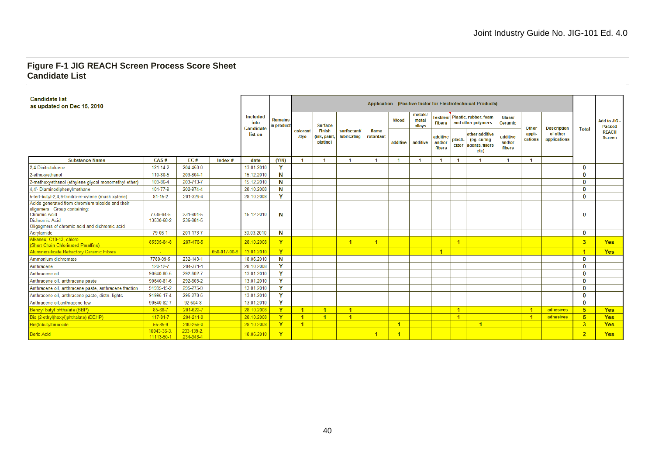$\overline{\phantom{0}}$ 

#### **Figure F-1 JIG REACH Screen Process Score Sheet Candidate List**

| <b>Candidate list</b><br>as updated on Dec 15, 2010                                                                                                                               |                          |                        |             |                               |                              |                  |                                           |                                   |                      |          |                            |                              |                | Application (Positive factor for Electrotechnical Products)    |                              |                      |                          |                |                                    |
|-----------------------------------------------------------------------------------------------------------------------------------------------------------------------------------|--------------------------|------------------------|-------------|-------------------------------|------------------------------|------------------|-------------------------------------------|-----------------------------------|----------------------|----------|----------------------------|------------------------------|----------------|----------------------------------------------------------------|------------------------------|----------------------|--------------------------|----------------|------------------------------------|
|                                                                                                                                                                                   |                          |                        |             | Included<br>into<br>Candidate | <b>Remains</b><br>in product |                  | <b>Surface</b>                            |                                   |                      | Wood     | metals/<br>metal<br>allovs | <b>Fibers</b>                |                | Textiles/   Plastic, rubber, foam<br>and other polymers        | Glass/<br>Ceramic            | <b>Other</b>         | <b>Description</b>       | <b>Total</b>   | <b>Add to JIG</b><br><b>Passed</b> |
|                                                                                                                                                                                   |                          |                        |             | list on                       |                              | colorant<br>/dye | <b>Finish</b><br>(ink, paint,<br>plating) | surfactant/<br><b>lubricating</b> | flame<br>retardant   | additive | additive                   | additive<br>and/or<br>fibers | plasti-        | other additive<br>(eq. curing<br>cizer agents, fillers<br>etc) | additive<br>and/or<br>fibers | appli-<br>cations    | of other<br>applications |                | <b>REACH</b><br><b>Screen</b>      |
| <b>Substance Name</b>                                                                                                                                                             | CAS#                     | FC#                    | $Index$ #   | date                          | (Y/N)                        |                  |                                           |                                   |                      | -1       |                            |                              |                |                                                                |                              |                      |                          |                |                                    |
| 2.4-Dinitrotoluene                                                                                                                                                                | $121 - 14 - 2$           | 204-450-0              |             | 13.01.2010                    | Y                            |                  |                                           |                                   |                      |          |                            |                              |                |                                                                |                              |                      |                          | 0              |                                    |
| 2-ethoxyethanol                                                                                                                                                                   | 110-80-5                 | 203-804-1              |             | 15.12.2010                    | N                            |                  |                                           |                                   |                      |          |                            |                              |                |                                                                |                              |                      |                          | n              |                                    |
| 2-methoxyethanol (ethylene glycol monomethyl ether)                                                                                                                               | 109-86-4                 | 203-713-7              |             | 15.12.2010                    | N                            |                  |                                           |                                   |                      |          |                            |                              |                |                                                                |                              |                      |                          | O              |                                    |
| 4.4'- Diaminodiphenvlmethane                                                                                                                                                      | 101-77-9                 | 202-974-4              |             | 28.10.2008                    | N                            |                  |                                           |                                   |                      |          |                            |                              |                |                                                                |                              |                      |                          | O              |                                    |
| 5-tert-butyl-2,4,6-trinitro-m-xylene (musk xylene)                                                                                                                                | $81 - 15 - 2$            | 201-329-4              |             | 28.10.2008                    | v                            |                  |                                           |                                   |                      |          |                            |                              |                |                                                                |                              |                      |                          | O              |                                    |
| Acids generated from chromium trioxide and their<br>oligomers. Group containing:<br><b>Chromic Acid</b><br><b>Dichromic Acid</b><br>Oligogmers of chromic acid and dichromic acid | 7738-94-5<br>13530-68-2  | 231-801-5<br>236-881-5 |             | 15.12.2010                    | N                            |                  |                                           |                                   |                      |          |                            |                              |                |                                                                |                              |                      |                          | $\mathbf 0$    |                                    |
| Acrylamide                                                                                                                                                                        | 79-06-1                  | 201-173-7              |             | 30.03.2010                    | N                            |                  |                                           |                                   |                      |          |                            |                              |                |                                                                |                              |                      |                          | 0              |                                    |
| Alkanes, C10-13, chloro<br>(Short Chain Chlorinated Paraffins)                                                                                                                    | 85535-84-8               | 287-476-5              |             | 28.10.2008                    | Ÿ                            |                  |                                           | $\blacktriangleleft$              | $\blacktriangleleft$ |          |                            |                              | $\overline{1}$ |                                                                |                              |                      |                          | 3              | <b>Yes</b>                         |
| <b>Aluminiosilicate Refractory Ceramic Fibres</b>                                                                                                                                 |                          |                        | 650-017-00- | 13.01.2010                    | <b>Y</b>                     |                  |                                           |                                   |                      |          |                            | $\overline{4}$               |                |                                                                |                              |                      |                          | $\blacksquare$ | <b>Yes</b>                         |
| Ammonium dichromate                                                                                                                                                               | 7789-09-5                | 232-143-1              |             | 18.06.2010                    | N                            |                  |                                           |                                   |                      |          |                            |                              |                |                                                                |                              |                      |                          | 0              |                                    |
| Anthracene                                                                                                                                                                        | 120-12-7                 | 204-371-1              |             | 28.10.2008                    | v                            |                  |                                           |                                   |                      |          |                            |                              |                |                                                                |                              |                      |                          | 0              |                                    |
| Anthracene oil                                                                                                                                                                    | 90640-80-5               | 292-602-7              |             | 13.01.2010                    | <b>v</b>                     |                  |                                           |                                   |                      |          |                            |                              |                |                                                                |                              |                      |                          | O              |                                    |
| Anthracene oil, anthracene paste                                                                                                                                                  | 90640-81-6               | 292-603-2              |             | 13.01.2010                    | v                            |                  |                                           |                                   |                      |          |                            |                              |                |                                                                |                              |                      |                          | O              |                                    |
| Anthracene oil, anthracene paste, anthracene fraction                                                                                                                             | 91995-15-2               | 295-275-9              |             | 13.01.2010                    | Y                            |                  |                                           |                                   |                      |          |                            |                              |                |                                                                |                              |                      |                          | O              |                                    |
| Anthracene oil, anthracene paste, distn. lights                                                                                                                                   | 91995-17-4               | 295-278-5              |             | 13.01.2010                    | Y                            |                  |                                           |                                   |                      |          |                            |                              |                |                                                                |                              |                      |                          | 0              |                                    |
| Anthracene oil, anthracene-low                                                                                                                                                    | 90640-82-7               | 92-604-8               |             | 13.01.2010                    | Y                            |                  |                                           |                                   |                      |          |                            |                              |                |                                                                |                              |                      |                          | 0              |                                    |
| Benzyl butyl phthalate (BBP)                                                                                                                                                      | 85-68-7                  | 201-622-7              |             | 28.10.2008                    | Y                            | -1               | $\overline{1}$                            | $\overline{1}$                    |                      |          |                            |                              | $\mathbf{1}$   |                                                                |                              | $\overline{1}$       | adhesives                | 5              | <b>Yes</b>                         |
| Bis (2-ethyl(hexyl)phthalate) (DEHP)                                                                                                                                              | $117 - 81 - 7$           | 204-211-0              |             | 28.10.2008                    | Y                            | $\overline{1}$   | $\mathbf{1}$                              | $\blacktriangleleft$              |                      |          |                            |                              | $\mathbf{1}$   |                                                                |                              | $\blacktriangleleft$ | adhesives                | 5 <sup>5</sup> | <b>Yes</b>                         |
| Bis(tributyltin) oxide                                                                                                                                                            | $56 - 35 - 9$            | 200-268-0              |             | 28.10.2008                    | Y.                           | -1               |                                           |                                   |                      |          |                            |                              |                | $\blacksquare$                                                 |                              |                      |                          | 3              | <b>Yes</b>                         |
| <b>Boric Acid</b>                                                                                                                                                                 | 10043-35-3<br>11113-50-1 | 233-139-2<br>234-343-4 |             | 18.06.2010                    | Y                            |                  |                                           |                                   | $\overline{1}$       |          |                            |                              |                |                                                                |                              |                      |                          | $\overline{2}$ | <b>Yes</b>                         |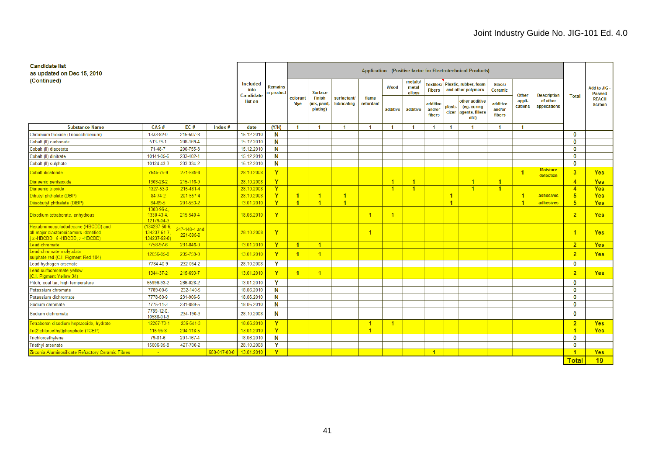| <b>Candidate list</b><br>as updated on Dec 15, 2010                                                        |                                                    |                            |              |                                      |                             |                      |                                          |                                  |                      |                      |                            |                                   | Application (Positive factor for Electrotechnical Products) |                                                                |                              |                   |                              |                      |                               |
|------------------------------------------------------------------------------------------------------------|----------------------------------------------------|----------------------------|--------------|--------------------------------------|-----------------------------|----------------------|------------------------------------------|----------------------------------|----------------------|----------------------|----------------------------|-----------------------------------|-------------------------------------------------------------|----------------------------------------------------------------|------------------------------|-------------------|------------------------------|----------------------|-------------------------------|
| (Continued)                                                                                                |                                                    |                            |              | <b>Included</b><br>into<br>Candidate | <b>Remains</b><br>n product |                      | <b>Surface</b>                           |                                  |                      | Wood                 | metals.<br>metal<br>alloys | <b>Textiles/</b><br><b>Fibers</b> |                                                             | Plastic, rubber, foam<br>and other polymers                    | Glass/<br>Ceramic            | <b>Other</b>      | <b>Description</b>           | <b>Total</b>         | Add to JIG<br><b>Passed</b>   |
|                                                                                                            |                                                    |                            |              | list on                              |                             | colorant<br>/dye     | <b>Finish</b><br>(ink, paint<br>plating) | surfactant<br><b>lubricating</b> | flame<br>retardant   | additive             | additive                   | additive<br>and/or<br>fibers      | plasti-                                                     | other additive<br>(eg. curing<br>cizer agents, fillers<br>etc) | additive<br>and/or<br>fibers | appli-<br>cations | of other<br>applications     |                      | <b>REACH</b><br><b>Screen</b> |
| <b>Substance Name</b>                                                                                      | CAS#                                               | EC#                        | Index $#$    | date                                 | (Y/N)                       | $\overline{1}$       | $\mathbf{1}$                             | $\blacktriangleleft$             | -1                   | $\blacktriangleleft$ | $\blacktriangleleft$       | $\mathbf{1}$                      | $\mathbf 1$                                                 | $\mathbf{1}$                                                   | $\blacktriangleleft$         | $\mathbf{1}$      |                              |                      |                               |
| Chromium trioxide (Trioxochromium)                                                                         | 1333-82-0                                          | 215-607-8                  |              | 15.12.2010                           | N                           |                      |                                          |                                  |                      |                      |                            |                                   |                                                             |                                                                |                              |                   |                              | 0                    |                               |
| Cobalt (II) carbonate                                                                                      | 513-79-1                                           | 208-169-4                  |              | 15.12.2010                           | N                           |                      |                                          |                                  |                      |                      |                            |                                   |                                                             |                                                                |                              |                   |                              | $\mathbf 0$          |                               |
| Cobalt (II) diacetate                                                                                      | 71-48-7                                            | 200-755-8                  |              | 15.12.2010                           | N                           |                      |                                          |                                  |                      |                      |                            |                                   |                                                             |                                                                |                              |                   |                              | $\bf{0}$             |                               |
| Cobalt (II) dinitrate                                                                                      | 10141-05-6                                         | 233-402-1                  |              | 15.12.2010                           | Ν                           |                      |                                          |                                  |                      |                      |                            |                                   |                                                             |                                                                |                              |                   |                              | $\mathbf 0$          |                               |
| Cobalt (II) sulphate                                                                                       | 10124-43-3                                         | 233-334-2                  |              | 15.12.2010                           | N                           |                      |                                          |                                  |                      |                      |                            |                                   |                                                             |                                                                |                              |                   |                              | $\bf{0}$             |                               |
| Cobalt dichloride                                                                                          | 7646-79-9                                          | 231-589-4                  |              | 28.10.2008                           | Y                           |                      |                                          |                                  |                      |                      |                            |                                   |                                                             |                                                                |                              | $\overline{1}$    | <b>Moisture</b><br>detection | $\overline{3}$       | <b>Yes</b>                    |
| Diarsenic pentaoxide                                                                                       | 1303-28-2                                          | 215-116-9                  |              | 28.10.2008                           | Y                           |                      |                                          |                                  |                      | $\blacktriangleleft$ | $\blacktriangleleft$       |                                   |                                                             | 1 <sup>1</sup>                                                 | $\mathbf{1}$                 |                   |                              | $\overline{4}$       | <b>Yes</b>                    |
| Diarsenic trioxide                                                                                         | 1327-53-3                                          | 215-481-4                  |              | 28.10.2008                           | <b>Y</b>                    |                      |                                          |                                  |                      | $\blacktriangleleft$ | $\blacktriangleleft$       |                                   |                                                             | 1 <sup>1</sup>                                                 | $\blacktriangleleft$         |                   |                              | $\overline{4}$       | <b>Yes</b>                    |
| Dibutyl phthalate (DBP                                                                                     | $84 - 74 - 2$                                      | 201-557-4                  |              | 28.10.2008                           | Y                           | $\overline{1}$       | $\mathbf{1}$                             | $\blacktriangleleft$             |                      |                      |                            |                                   | $\mathbf{1}$                                                |                                                                |                              | $\mathbf{1}$      | adhesives                    | 5 <sup>5</sup>       | <b>Yes</b>                    |
| Diisobutyl phthalate (DIBP)                                                                                | 84-69-5                                            | 201-553-2                  |              | 13.01.2010                           | Y                           | $\blacktriangleleft$ | $\blacktriangleleft$                     | $\blacktriangleleft$             |                      |                      |                            |                                   | $\mathbf{1}$                                                |                                                                |                              | $\overline{1}$    | adhesives                    | 5 <sup>5</sup>       | <b>Yes</b>                    |
| Disodium tetraborate, anhydrous                                                                            | 1303-96-4.<br>1330-43-4.<br>12179-04-3             | 215-540-4                  |              | 18.06.2010                           | Y                           |                      |                                          |                                  | $\overline{1}$       | 1                    |                            |                                   |                                                             |                                                                |                              |                   |                              | $\overline{2}$       | <b>Yes</b>                    |
| Hexabromocyclododecane (HBCDD) and<br>all major diastereoisomers identified<br>(a-HBCDD, B-HBCDD, y-HBCDD) | $(134237 - 50 - 6)$<br>134237-51-7<br>134237-52-8) | 247-148-4 and<br>221-695-9 |              | 28.10.2008                           | Y                           |                      |                                          |                                  | $\overline{1}$       |                      |                            |                                   |                                                             |                                                                |                              |                   |                              |                      | <b>Yes</b>                    |
| ead chromate                                                                                               | 7758-97-6                                          | 231-846-0                  |              | 13.01.2010                           | Y                           | $\blacktriangleleft$ | $\blacktriangleleft$                     |                                  |                      |                      |                            |                                   |                                                             |                                                                |                              |                   |                              | 2 <sup>1</sup>       | <b>Yes</b>                    |
| Lead chromate molybdate<br>sulphate red (C.I. Pigment Red 104)                                             | 12656-85-8                                         | 235-759-9                  |              | 13.01.2010                           | Y                           | $\overline{1}$       | $\blacktriangleleft$                     |                                  |                      |                      |                            |                                   |                                                             |                                                                |                              |                   |                              | 2 <sup>1</sup>       | <b>Yes</b>                    |
| Lead hydrogen arsenate                                                                                     | 7784-40-9                                          | 232-064-2                  |              | 28.10.2008                           | Y                           |                      |                                          |                                  |                      |                      |                            |                                   |                                                             |                                                                |                              |                   |                              | $\mathbf{0}$         |                               |
| Lead sulfochromate yellow<br>(C.I. Pigment Yellow 34)                                                      | 1344-37-2                                          | 215-693-7                  |              | 13.01.2010                           | Y                           | $\overline{1}$       | $\overline{1}$                           |                                  |                      |                      |                            |                                   |                                                             |                                                                |                              |                   |                              | $\overline{2}$       | <b>Yes</b>                    |
| Pitch, coal tar, high temperature                                                                          | 65996-93-2                                         | 266-028-2                  |              | 13.01.2010                           | Y                           |                      |                                          |                                  |                      |                      |                            |                                   |                                                             |                                                                |                              |                   |                              | $\mathbf{0}$         |                               |
| Potassium chromate                                                                                         | 7789-00-6                                          | 232-140-5                  |              | 18.06.2010                           | N                           |                      |                                          |                                  |                      |                      |                            |                                   |                                                             |                                                                |                              |                   |                              | 0                    |                               |
| Potassium dichromate                                                                                       | 7778-50-9                                          | 231-906-6                  |              | 18.06.2010                           | N                           |                      |                                          |                                  |                      |                      |                            |                                   |                                                             |                                                                |                              |                   |                              | 0                    |                               |
| Sodium chromate                                                                                            | 7775-11-3                                          | 231-889-5                  |              | 18.06.2010                           | N                           |                      |                                          |                                  |                      |                      |                            |                                   |                                                             |                                                                |                              |                   |                              | 0                    |                               |
| Sodium dichromate                                                                                          | 7789-12-0.<br>10588-01-9                           | 234-190-3                  |              | 28.10.2008                           | N                           |                      |                                          |                                  |                      |                      |                            |                                   |                                                             |                                                                |                              |                   |                              | $\bf{0}$             |                               |
| Tetraboron disodium heptaoxide, hydrate                                                                    | 12267-73-1                                         | 235-541-3                  |              | 18.06.2010                           | $\mathbf{Y}$                |                      |                                          |                                  | $\blacktriangleleft$ | $\blacksquare$       |                            |                                   |                                                             |                                                                |                              |                   |                              | 2 <sup>1</sup>       | <b>Yes</b>                    |
| Tri(2-chloroethyl)phosphate (TCEP)                                                                         | 115-96-8                                           | 204-118-5                  |              | 13.01.2010                           | $\mathbf{Y}$                |                      |                                          |                                  | $\blacktriangleleft$ |                      |                            |                                   |                                                             |                                                                |                              |                   |                              | $\blacktriangleleft$ | <b>Yes</b>                    |
| Trichloroethylene                                                                                          | 79-01-6                                            | 201-167-4                  |              | 18.06.2010                           | N                           |                      |                                          |                                  |                      |                      |                            |                                   |                                                             |                                                                |                              |                   |                              | $\mathbf 0$          |                               |
| <b>Triethyl arsenate</b>                                                                                   | 15606-95-8                                         | 427-700-2                  |              | 28.10.2008                           | Y                           |                      |                                          |                                  |                      |                      |                            |                                   |                                                             |                                                                |                              |                   |                              | $\mathbf{0}$         |                               |
| <u> Zirconia Aluminosilicate Refractory Ceramic Fibres</u>                                                 | $\sim$                                             |                            | 650-017-00-8 | 13.01.2010                           | $\mathbf v$                 |                      |                                          |                                  |                      |                      |                            | -1                                |                                                             |                                                                |                              |                   |                              |                      | <b>Yes</b>                    |
|                                                                                                            |                                                    |                            |              |                                      |                             |                      |                                          |                                  |                      |                      |                            |                                   |                                                             |                                                                |                              |                   |                              | <b>Total</b>         | 19                            |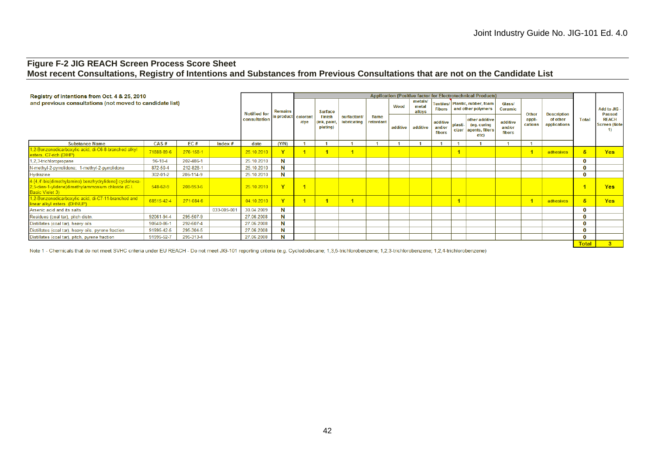# **Figure F-2 JIG REACH Screen Process Score Sheet Most recent Consultations, Registry of Intentions and Substances from Previous Consultations that are not on the Candidate List**

| Registry of intentions from Oct. 4 & 25, 2010                                                                                   |                |           |             |                            |                |                  |                                         |                                  |                    |             |                            |                              |         | <b>Application (Positive factor for Electrotechnical Products)</b> |                              |                   |                          |              |                                     |
|---------------------------------------------------------------------------------------------------------------------------------|----------------|-----------|-------------|----------------------------|----------------|------------------|-----------------------------------------|----------------------------------|--------------------|-------------|----------------------------|------------------------------|---------|--------------------------------------------------------------------|------------------------------|-------------------|--------------------------|--------------|-------------------------------------|
| and previous consultations (not moved to candidate list)                                                                        |                |           |             | <b>Notified for</b>        | <b>Remains</b> |                  | <b>Surface</b>                          |                                  |                    | <b>Wood</b> | metals.<br>metal<br>allovs | <b>Fibers</b>                |         | Textiles/ Plastic, rubber, foam<br>and other polymers              | <b>Glass/</b><br>Ceramic     | Other             | <b>Description</b>       |              | Add to JIG -<br><b>Passed</b>       |
|                                                                                                                                 |                |           |             | in product<br>consultation |                | colorant<br>/dve | <b>Finish</b><br>ink, paint<br>plating) | surfactant<br><b>lubricating</b> | flame<br>retardant | additive    | additive                   | additive<br>and/or<br>fibers | plasti- | other additive<br>(eq. curing<br>cizer agents, fillers<br>etc)     | additive<br>and/or<br>fibers | appli-<br>cations | of other<br>applications | <b>Total</b> | <b>REACH</b><br><b>Screen (Note</b> |
| <b>Substance Name</b>                                                                                                           | CAS#           | EC#       | Index $#$   | date                       | (Y/N)          |                  |                                         |                                  |                    |             |                            |                              |         |                                                                    |                              |                   |                          |              |                                     |
| 1,2-Benzenedicarboxylic acid, di-C6-8-branched alkyl<br>esters, C7-rich (DIHP)                                                  | 71888-89-6     | 276-158-1 |             | 25.10.2010                 |                |                  |                                         |                                  |                    |             |                            |                              |         |                                                                    |                              |                   | adhesives                |              | <b>Yes</b>                          |
| 1,2,3-trichloropropane                                                                                                          | $96 - 18 - 4$  | 202-486-1 |             | 25.10.2010                 | N              |                  |                                         |                                  |                    |             |                            |                              |         |                                                                    |                              |                   |                          |              |                                     |
| N-methyl-2-pyrrolidone; 1-methyl-2-pyrrolidone                                                                                  | 872-50-4       | 212-828-1 |             | 25.10.2010                 | N              |                  |                                         |                                  |                    |             |                            |                              |         |                                                                    |                              |                   |                          |              |                                     |
| Hydrazine                                                                                                                       | 302-01-2       | 206-114-9 |             | 25.10.2010                 | N              |                  |                                         |                                  |                    |             |                            |                              |         |                                                                    |                              |                   |                          |              |                                     |
| 4-[4,4'-bis(dimethylamino) benzhydrylidene] cyclohexa-<br>2,5-dien-1-ylidene]dimethylammonium chloride (C.I.<br>Basic Violet 3) | $548 - 62 - 9$ | 208-953-6 |             | 25.10.2010                 | $\mathbf{v}$   |                  |                                         |                                  |                    |             |                            |                              |         |                                                                    |                              |                   |                          |              | <b>Yes</b>                          |
| 1.2-Benzenedicarboxylic acid, di-C7-11-branched and<br>linear alkyl esters (DHNUP)                                              | 68515-42-4     | 271-084-6 |             | 04.10.2010                 | Y.             |                  |                                         |                                  |                    |             |                            |                              |         |                                                                    |                              |                   | adhesives                |              | <b>Yes</b>                          |
| Arsenic acid and its salts                                                                                                      |                |           | 033-005-001 | 30.04.2009                 | N              |                  |                                         |                                  |                    |             |                            |                              |         |                                                                    |                              |                   |                          |              |                                     |
| Residues (coal tar), pitch distn.                                                                                               | 92061-94-4     | 295-507-9 |             | 27.06.2008                 | N              |                  |                                         |                                  |                    |             |                            |                              |         |                                                                    |                              |                   |                          |              |                                     |
| Distillates (coal tar), heavy oils                                                                                              | 90640-86-1     | 292-607-4 |             | 27.06.2008                 | N              |                  |                                         |                                  |                    |             |                            |                              |         |                                                                    |                              |                   |                          |              |                                     |
| Distillates (coal tar), heavy oils, pyrene fraction                                                                             | 91995-42-5     | 295-304-5 |             | 27.06.2008                 |                |                  |                                         |                                  |                    |             |                            |                              |         |                                                                    |                              |                   |                          |              |                                     |
| Distillates (coal tar), pitch, pyrene fraction                                                                                  | 91995-52-7     | 295-313-4 |             | 27.06.2008                 | N              |                  |                                         |                                  |                    |             |                            |                              |         |                                                                    |                              |                   |                          |              |                                     |
|                                                                                                                                 |                |           |             |                            |                |                  |                                         |                                  |                    |             |                            |                              |         |                                                                    |                              |                   |                          | <b>Total</b> | 3 <sup>7</sup>                      |

Note 1 - Chemicals that do not meet SVHC criteria under EU REACH - Do not meet JIG-101 reporting criteria (e.g. Cyclododecane; 1,3,5-trichlorobenzene; 1,2,3-trichlorobenzene; 1,2,4-trichlorobenzene; 1,2,4-trichlorobenzene;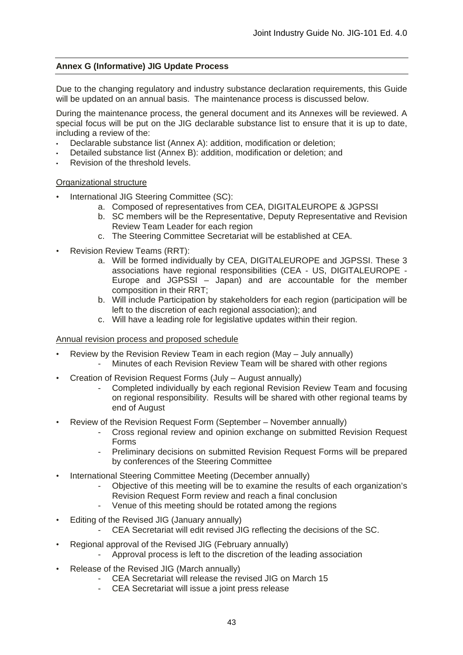# **Annex G (Informative) JIG Update Process**

Due to the changing regulatory and industry substance declaration requirements, this Guide will be updated on an annual basis. The maintenance process is discussed below.

During the maintenance process, the general document and its Annexes will be reviewed. A special focus will be put on the JIG declarable substance list to ensure that it is up to date, including a review of the:

- Declarable substance list (Annex A): addition, modification or deletion;
- Detailed substance list (Annex B): addition, modification or deletion; and
- Revision of the threshold levels.

Organizational structure

- International JIG Steering Committee (SC):
	- a. Composed of representatives from CEA, DIGITALEUROPE & JGPSSI
	- b. SC members will be the Representative, Deputy Representative and Revision Review Team Leader for each region
	- c. The Steering Committee Secretariat will be established at CEA.
- Revision Review Teams (RRT):
	- a. Will be formed individually by CEA, DIGITALEUROPE and JGPSSI. These 3 associations have regional responsibilities (CEA - US, DIGITALEUROPE - Europe and JGPSSI – Japan) and are accountable for the member composition in their RRT;
	- b. Will include Participation by stakeholders for each region (participation will be left to the discretion of each regional association); and
	- c. Will have a leading role for legislative updates within their region.

# Annual revision process and proposed schedule

- Review by the Revision Review Team in each region (May July annually) Minutes of each Revision Review Team will be shared with other regions
- Creation of Revision Request Forms (July August annually)
	- Completed individually by each regional Revision Review Team and focusing on regional responsibility. Results will be shared with other regional teams by end of August
- Review of the Revision Request Form (September November annually)
	- Cross regional review and opinion exchange on submitted Revision Request Forms
	- Preliminary decisions on submitted Revision Request Forms will be prepared by conferences of the Steering Committee
- International Steering Committee Meeting (December annually)
	- Objective of this meeting will be to examine the results of each organization's Revision Request Form review and reach a final conclusion
	- Venue of this meeting should be rotated among the regions
- Editing of the Revised JIG (January annually)
	- CEA Secretariat will edit revised JIG reflecting the decisions of the SC.
- Regional approval of the Revised JIG (February annually)
	- Approval process is left to the discretion of the leading association
- Release of the Revised JIG (March annually)
	- CEA Secretariat will release the revised JIG on March 15
	- CEA Secretariat will issue a joint press release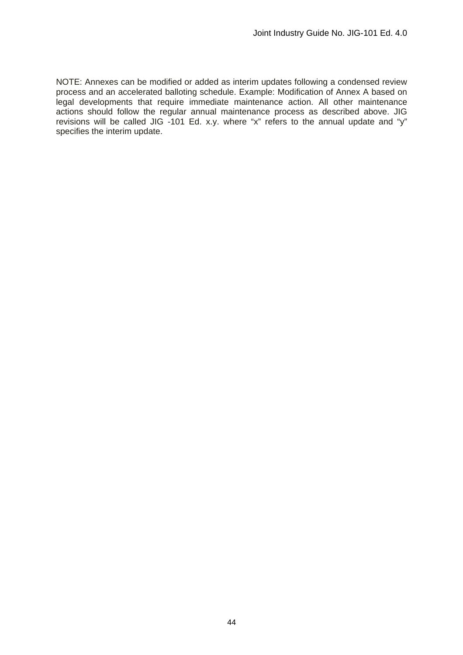NOTE: Annexes can be modified or added as interim updates following a condensed review process and an accelerated balloting schedule. Example: Modification of Annex A based on legal developments that require immediate maintenance action. All other maintenance actions should follow the regular annual maintenance process as described above. JIG revisions will be called JIG -101 Ed. x.y. where "x" refers to the annual update and "y" specifies the interim update.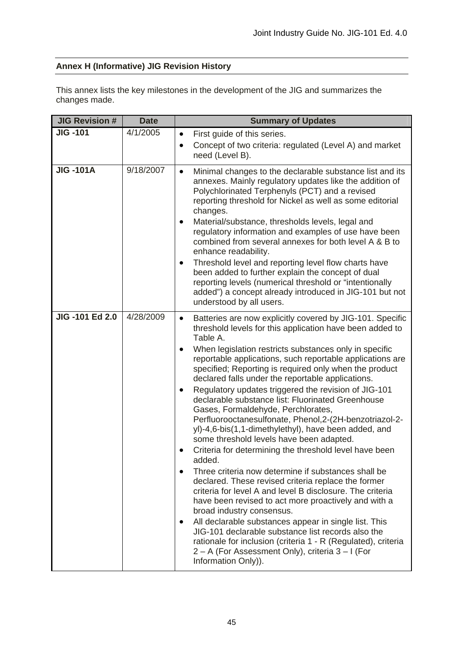# **Annex H (Informative) JIG Revision History**

This annex lists the key milestones in the development of the JIG and summarizes the changes made.

| <b>JIG Revision #</b> | <b>Date</b> | <b>Summary of Updates</b>                                                                                                                                                                                                                                                                                                                                                                                                                                                                                                                                                                                                                                                                                                                                                                                                                                                                                                                                                                                                                                                                                                                                                                                                                                                                                  |
|-----------------------|-------------|------------------------------------------------------------------------------------------------------------------------------------------------------------------------------------------------------------------------------------------------------------------------------------------------------------------------------------------------------------------------------------------------------------------------------------------------------------------------------------------------------------------------------------------------------------------------------------------------------------------------------------------------------------------------------------------------------------------------------------------------------------------------------------------------------------------------------------------------------------------------------------------------------------------------------------------------------------------------------------------------------------------------------------------------------------------------------------------------------------------------------------------------------------------------------------------------------------------------------------------------------------------------------------------------------------|
| <b>JIG -101</b>       | 4/1/2005    | First guide of this series.<br>Concept of two criteria: regulated (Level A) and market<br>$\bullet$<br>need (Level B).                                                                                                                                                                                                                                                                                                                                                                                                                                                                                                                                                                                                                                                                                                                                                                                                                                                                                                                                                                                                                                                                                                                                                                                     |
| <b>JIG-101A</b>       | 9/18/2007   | Minimal changes to the declarable substance list and its<br>$\bullet$<br>annexes. Mainly regulatory updates like the addition of<br>Polychlorinated Terphenyls (PCT) and a revised<br>reporting threshold for Nickel as well as some editorial<br>changes.<br>Material/substance, thresholds levels, legal and<br>regulatory information and examples of use have been<br>combined from several annexes for both level A & B to<br>enhance readability.<br>Threshold level and reporting level flow charts have<br>٠<br>been added to further explain the concept of dual<br>reporting levels (numerical threshold or "intentionally<br>added") a concept already introduced in JIG-101 but not<br>understood by all users.                                                                                                                                                                                                                                                                                                                                                                                                                                                                                                                                                                                |
| <b>JIG-101 Ed 2.0</b> | 4/28/2009   | Batteries are now explicitly covered by JIG-101. Specific<br>$\bullet$<br>threshold levels for this application have been added to<br>Table A.<br>When legislation restricts substances only in specific<br>reportable applications, such reportable applications are<br>specified; Reporting is required only when the product<br>declared falls under the reportable applications.<br>Regulatory updates triggered the revision of JIG-101<br>declarable substance list: Fluorinated Greenhouse<br>Gases, Formaldehyde, Perchlorates,<br>Perfluorooctanesulfonate, Phenol, 2-(2H-benzotriazol-2-<br>yl)-4,6-bis(1,1-dimethylethyl), have been added, and<br>some threshold levels have been adapted.<br>Criteria for determining the threshold level have been<br>added.<br>Three criteria now determine if substances shall be<br>declared. These revised criteria replace the former<br>criteria for level A and level B disclosure. The criteria<br>have been revised to act more proactively and with a<br>broad industry consensus.<br>All declarable substances appear in single list. This<br>٠<br>JIG-101 declarable substance list records also the<br>rationale for inclusion (criteria 1 - R (Regulated), criteria<br>2 – A (For Assessment Only), criteria 3 – I (For<br>Information Only)). |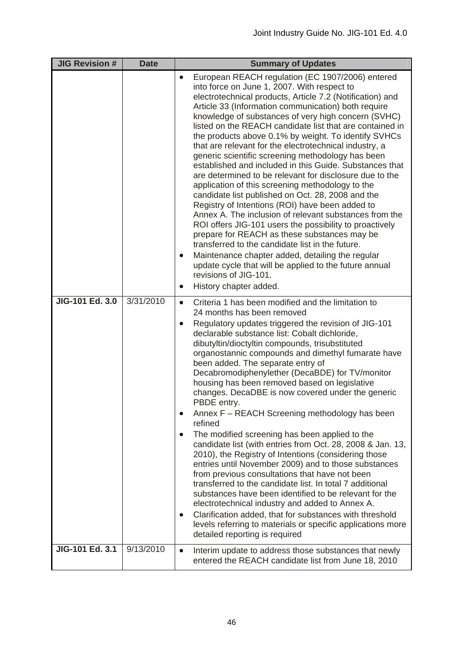| <b>JIG Revision #</b> | <b>Date</b> | <b>Summary of Updates</b>                                                                                                                                                                                                                                                                                                                                                                                                                                                                                                                                                                                                                                                                                                                                                                                                                                                                                                                                                                                                                                                                                                                                                                                                       |
|-----------------------|-------------|---------------------------------------------------------------------------------------------------------------------------------------------------------------------------------------------------------------------------------------------------------------------------------------------------------------------------------------------------------------------------------------------------------------------------------------------------------------------------------------------------------------------------------------------------------------------------------------------------------------------------------------------------------------------------------------------------------------------------------------------------------------------------------------------------------------------------------------------------------------------------------------------------------------------------------------------------------------------------------------------------------------------------------------------------------------------------------------------------------------------------------------------------------------------------------------------------------------------------------|
|                       |             | European REACH regulation (EC 1907/2006) entered<br>$\bullet$<br>into force on June 1, 2007. With respect to<br>electrotechnical products, Article 7.2 (Notification) and<br>Article 33 (Information communication) both require<br>knowledge of substances of very high concern (SVHC)<br>listed on the REACH candidate list that are contained in<br>the products above 0.1% by weight. To identify SVHCs<br>that are relevant for the electrotechnical industry, a<br>generic scientific screening methodology has been<br>established and included in this Guide. Substances that<br>are determined to be relevant for disclosure due to the<br>application of this screening methodology to the<br>candidate list published on Oct. 28, 2008 and the<br>Registry of Intentions (ROI) have been added to<br>Annex A. The inclusion of relevant substances from the<br>ROI offers JIG-101 users the possibility to proactively<br>prepare for REACH as these substances may be<br>transferred to the candidate list in the future.<br>Maintenance chapter added, detailing the regular<br>$\bullet$<br>update cycle that will be applied to the future annual<br>revisions of JIG-101.<br>History chapter added.<br>٠        |
| JIG-101 Ed. 3.0       | 3/31/2010   | Criteria 1 has been modified and the limitation to<br>$\bullet$<br>24 months has been removed<br>Regulatory updates triggered the revision of JIG-101<br>٠<br>declarable substance list: Cobalt dichloride,<br>dibutyltin/dioctyltin compounds, trisubstituted<br>organostannic compounds and dimethyl fumarate have<br>been added. The separate entry of<br>Decabromodiphenylether (DecaBDE) for TV/monitor<br>housing has been removed based on legislative<br>changes. DecaDBE is now covered under the generic<br>PBDE entry.<br>Annex F - REACH Screening methodology has been<br>refined<br>The modified screening has been applied to the<br>٠<br>candidate list (with entries from Oct. 28, 2008 & Jan. 13,<br>2010), the Registry of Intentions (considering those<br>entries until November 2009) and to those substances<br>from previous consultations that have not been<br>transferred to the candidate list. In total 7 additional<br>substances have been identified to be relevant for the<br>electrotechnical industry and added to Annex A.<br>Clarification added, that for substances with threshold<br>٠<br>levels referring to materials or specific applications more<br>detailed reporting is required |
| JIG-101 Ed. 3.1       | 9/13/2010   | Interim update to address those substances that newly<br>$\bullet$<br>entered the REACH candidate list from June 18, 2010                                                                                                                                                                                                                                                                                                                                                                                                                                                                                                                                                                                                                                                                                                                                                                                                                                                                                                                                                                                                                                                                                                       |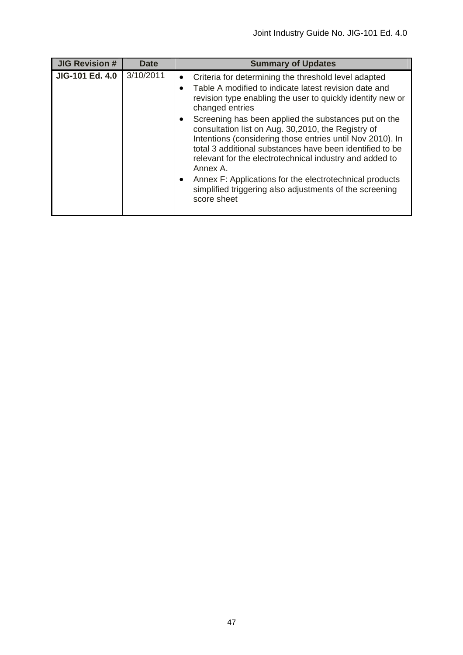| <b>JIG Revision #</b> | <b>Date</b> | <b>Summary of Updates</b>                                                                                                                                                                                                                                                                                                                                                                                                                                                                                                                                                                                                                                      |
|-----------------------|-------------|----------------------------------------------------------------------------------------------------------------------------------------------------------------------------------------------------------------------------------------------------------------------------------------------------------------------------------------------------------------------------------------------------------------------------------------------------------------------------------------------------------------------------------------------------------------------------------------------------------------------------------------------------------------|
| JIG-101 Ed. 4.0       | 3/10/2011   | Criteria for determining the threshold level adapted<br>$\bullet$<br>Table A modified to indicate latest revision date and<br>revision type enabling the user to quickly identify new or<br>changed entries<br>Screening has been applied the substances put on the<br>consultation list on Aug. 30,2010, the Registry of<br>Intentions (considering those entries until Nov 2010). In<br>total 3 additional substances have been identified to be<br>relevant for the electrotechnical industry and added to<br>Annex A.<br>Annex F: Applications for the electrotechnical products<br>simplified triggering also adjustments of the screening<br>score sheet |